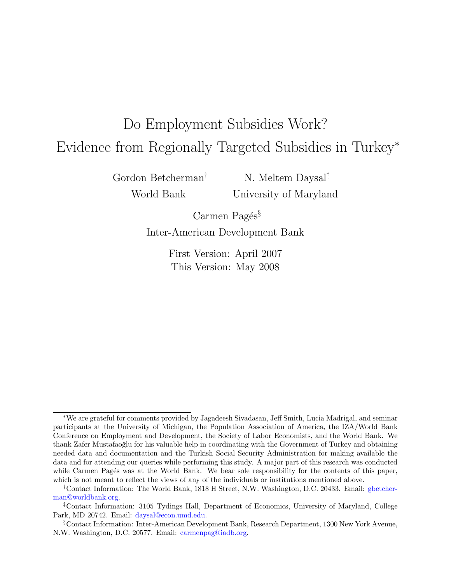# Do Employment Subsidies Work? Evidence from Regionally Targeted Subsidies in Turkey<sup>∗</sup>

Gordon Betcherman† World Bank

N. Meltem Daysal‡ University of Maryland

Carmen Pagés $§$ Inter-American Development Bank

> First Version: April 2007 This Version: May 2008

<sup>∗</sup>We are grateful for comments provided by Jagadeesh Sivadasan, Jeff Smith, Lucia Madrigal, and seminar participants at the University of Michigan, the Population Association of America, the IZA/World Bank Conference on Employment and Development, the Society of Labor Economists, and the World Bank. We thank Zafer Mustafao˘glu for his valuable help in coordinating with the Government of Turkey and obtaining needed data and documentation and the Turkish Social Security Administration for making available the data and for attending our queries while performing this study. A major part of this research was conducted while Carmen Pagés was at the World Bank. We bear sole responsibility for the contents of this paper, which is not meant to reflect the views of any of the individuals or institutions mentioned above.

<sup>†</sup>Contact Information: The World Bank, 1818 H Street, N.W. Washington, D.C. 20433. Email: [gbetcher](mailto: gbetcherman@worldbank.org)[man@worldbank.org.](mailto: gbetcherman@worldbank.org)

<sup>‡</sup>Contact Information: 3105 Tydings Hall, Department of Economics, University of Maryland, College Park, MD 20742. Email: [daysal@econ.umd.edu.](mailto:daysal@econ.umd.edu)

<sup>§</sup>Contact Information: Inter-American Development Bank, Research Department, 1300 New York Avenue, N.W. Washington, D.C. 20577. Email: [carmenpag@iadb.org.](mailto: carmenpag@iadb.org)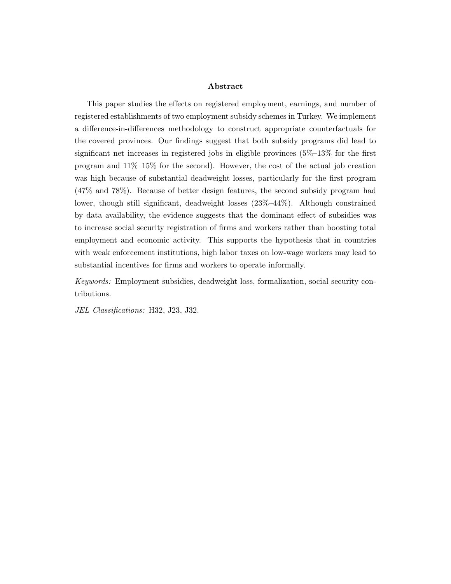#### Abstract

This paper studies the effects on registered employment, earnings, and number of registered establishments of two employment subsidy schemes in Turkey. We implement a difference-in-differences methodology to construct appropriate counterfactuals for the covered provinces. Our findings suggest that both subsidy programs did lead to significant net increases in registered jobs in eligible provinces (5%–13% for the first program and 11%–15% for the second). However, the cost of the actual job creation was high because of substantial deadweight losses, particularly for the first program (47% and 78%). Because of better design features, the second subsidy program had lower, though still significant, deadweight losses (23%–44%). Although constrained by data availability, the evidence suggests that the dominant effect of subsidies was to increase social security registration of firms and workers rather than boosting total employment and economic activity. This supports the hypothesis that in countries with weak enforcement institutions, high labor taxes on low-wage workers may lead to substantial incentives for firms and workers to operate informally.

Keywords: Employment subsidies, deadweight loss, formalization, social security contributions.

JEL Classifications: H32, J23, J32.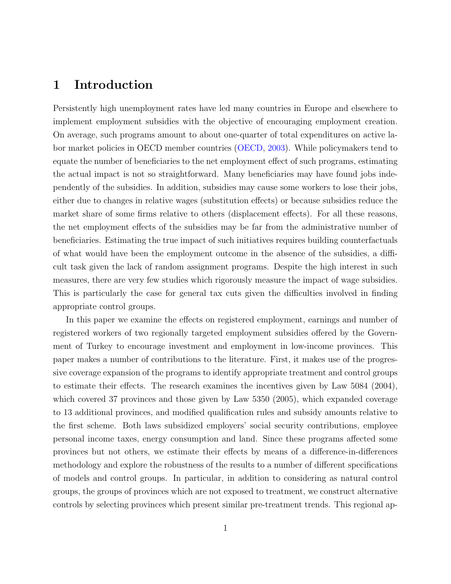## 1 Introduction

Persistently high unemployment rates have led many countries in Europe and elsewhere to implement employment subsidies with the objective of encouraging employment creation. On average, such programs amount to about one-quarter of total expenditures on active labor market policies in OECD member countries [\(OECD,](#page-29-0) [2003\)](#page-29-0). While policymakers tend to equate the number of beneficiaries to the net employment effect of such programs, estimating the actual impact is not so straightforward. Many beneficiaries may have found jobs independently of the subsidies. In addition, subsidies may cause some workers to lose their jobs, either due to changes in relative wages (substitution effects) or because subsidies reduce the market share of some firms relative to others (displacement effects). For all these reasons, the net employment effects of the subsidies may be far from the administrative number of beneficiaries. Estimating the true impact of such initiatives requires building counterfactuals of what would have been the employment outcome in the absence of the subsidies, a difficult task given the lack of random assignment programs. Despite the high interest in such measures, there are very few studies which rigorously measure the impact of wage subsidies. This is particularly the case for general tax cuts given the difficulties involved in finding appropriate control groups.

In this paper we examine the effects on registered employment, earnings and number of registered workers of two regionally targeted employment subsidies offered by the Government of Turkey to encourage investment and employment in low-income provinces. This paper makes a number of contributions to the literature. First, it makes use of the progressive coverage expansion of the programs to identify appropriate treatment and control groups to estimate their effects. The research examines the incentives given by Law 5084 (2004), which covered 37 provinces and those given by Law 5350 (2005), which expanded coverage to 13 additional provinces, and modified qualification rules and subsidy amounts relative to the first scheme. Both laws subsidized employers' social security contributions, employee personal income taxes, energy consumption and land. Since these programs affected some provinces but not others, we estimate their effects by means of a difference-in-differences methodology and explore the robustness of the results to a number of different specifications of models and control groups. In particular, in addition to considering as natural control groups, the groups of provinces which are not exposed to treatment, we construct alternative controls by selecting provinces which present similar pre-treatment trends. This regional ap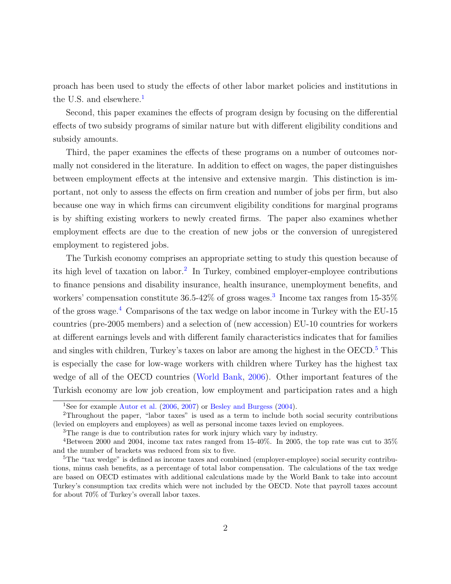proach has been used to study the effects of other labor market policies and institutions in the U.S. and elsewhere.<sup>[1](#page-3-0)</sup>

Second, this paper examines the effects of program design by focusing on the differential effects of two subsidy programs of similar nature but with different eligibility conditions and subsidy amounts.

Third, the paper examines the effects of these programs on a number of outcomes normally not considered in the literature. In addition to effect on wages, the paper distinguishes between employment effects at the intensive and extensive margin. This distinction is important, not only to assess the effects on firm creation and number of jobs per firm, but also because one way in which firms can circumvent eligibility conditions for marginal programs is by shifting existing workers to newly created firms. The paper also examines whether employment effects are due to the creation of new jobs or the conversion of unregistered employment to registered jobs.

The Turkish economy comprises an appropriate setting to study this question because of its high level of taxation on labor.<sup>[2](#page-3-1)</sup> In Turkey, combined employer-employee contributions to finance pensions and disability insurance, health insurance, unemployment benefits, and workers' compensation constitute [3](#page-3-2)6.5-42% of gross wages.<sup>3</sup> Income tax ranges from 15-35% of the gross wage.[4](#page-3-3) Comparisons of the tax wedge on labor income in Turkey with the EU-15 countries (pre-2005 members) and a selection of (new accession) EU-10 countries for workers at different earnings levels and with different family characteristics indicates that for families and singles with children, Turkey's taxes on labor are among the highest in the OECD. $5$  This is especially the case for low-wage workers with children where Turkey has the highest tax wedge of all of the OECD countries [\(World Bank,](#page-29-1) [2006\)](#page-29-1). Other important features of the Turkish economy are low job creation, low employment and participation rates and a high

<span id="page-3-1"></span><span id="page-3-0"></span><sup>&</sup>lt;sup>1</sup>See for example [Autor et al.](#page-28-0) [\(2006,](#page-28-0) [2007\)](#page-28-1) or [Besley and Burgess](#page-28-2) [\(2004\)](#page-28-2).

<sup>2</sup>Throughout the paper, "labor taxes" is used as a term to include both social security contributions (levied on employers and employees) as well as personal income taxes levied on employees.

<span id="page-3-3"></span><span id="page-3-2"></span><sup>3</sup>The range is due to contribution rates for work injury which vary by industry.

<sup>4</sup>Between 2000 and 2004, income tax rates ranged from 15-40%. In 2005, the top rate was cut to 35% and the number of brackets was reduced from six to five.

<span id="page-3-4"></span><sup>5</sup>The "tax wedge" is defined as income taxes and combined (employer-employee) social security contributions, minus cash benefits, as a percentage of total labor compensation. The calculations of the tax wedge are based on OECD estimates with additional calculations made by the World Bank to take into account Turkey's consumption tax credits which were not included by the OECD. Note that payroll taxes account for about 70% of Turkey's overall labor taxes.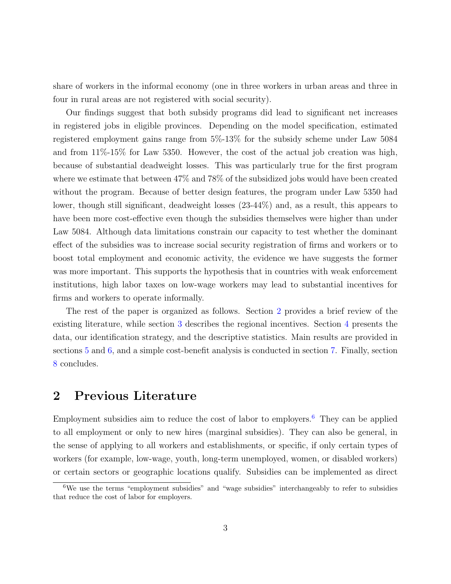share of workers in the informal economy (one in three workers in urban areas and three in four in rural areas are not registered with social security).

Our findings suggest that both subsidy programs did lead to significant net increases in registered jobs in eligible provinces. Depending on the model specification, estimated registered employment gains range from 5%-13% for the subsidy scheme under Law 5084 and from 11%-15% for Law 5350. However, the cost of the actual job creation was high, because of substantial deadweight losses. This was particularly true for the first program where we estimate that between 47% and 78% of the subsidized jobs would have been created without the program. Because of better design features, the program under Law 5350 had lower, though still significant, deadweight losses (23-44%) and, as a result, this appears to have been more cost-effective even though the subsidies themselves were higher than under Law 5084. Although data limitations constrain our capacity to test whether the dominant effect of the subsidies was to increase social security registration of firms and workers or to boost total employment and economic activity, the evidence we have suggests the former was more important. This supports the hypothesis that in countries with weak enforcement institutions, high labor taxes on low-wage workers may lead to substantial incentives for firms and workers to operate informally.

The rest of the paper is organized as follows. Section [2](#page-4-0) provides a brief review of the existing literature, while section [3](#page-7-0) describes the regional incentives. Section [4](#page-11-0) presents the data, our identification strategy, and the descriptive statistics. Main results are provided in sections [5](#page-17-0) and [6,](#page-22-0) and a simple cost-benefit analysis is conducted in section [7.](#page-24-0) Finally, section [8](#page-26-0) concludes.

## <span id="page-4-0"></span>2 Previous Literature

Employment subsidies aim to reduce the cost of labor to employers.<sup>[6](#page-4-1)</sup> They can be applied to all employment or only to new hires (marginal subsidies). They can also be general, in the sense of applying to all workers and establishments, or specific, if only certain types of workers (for example, low-wage, youth, long-term unemployed, women, or disabled workers) or certain sectors or geographic locations qualify. Subsidies can be implemented as direct

<span id="page-4-1"></span><sup>6</sup>We use the terms "employment subsidies" and "wage subsidies" interchangeably to refer to subsidies that reduce the cost of labor for employers.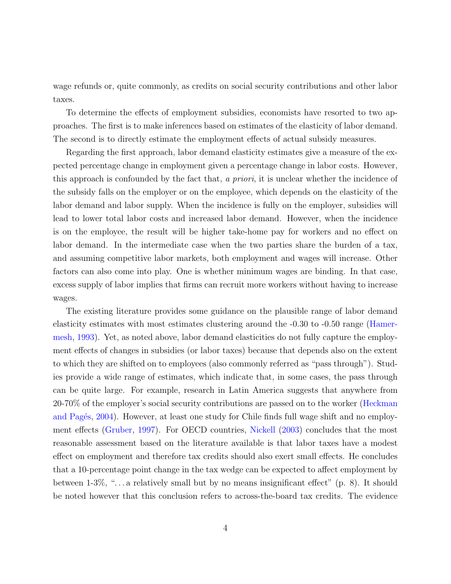wage refunds or, quite commonly, as credits on social security contributions and other labor taxes.

To determine the effects of employment subsidies, economists have resorted to two approaches. The first is to make inferences based on estimates of the elasticity of labor demand. The second is to directly estimate the employment effects of actual subsidy measures.

Regarding the first approach, labor demand elasticity estimates give a measure of the expected percentage change in employment given a percentage change in labor costs. However, this approach is confounded by the fact that, a priori, it is unclear whether the incidence of the subsidy falls on the employer or on the employee, which depends on the elasticity of the labor demand and labor supply. When the incidence is fully on the employer, subsidies will lead to lower total labor costs and increased labor demand. However, when the incidence is on the employee, the result will be higher take-home pay for workers and no effect on labor demand. In the intermediate case when the two parties share the burden of a tax, and assuming competitive labor markets, both employment and wages will increase. Other factors can also come into play. One is whether minimum wages are binding. In that case, excess supply of labor implies that firms can recruit more workers without having to increase wages.

The existing literature provides some guidance on the plausible range of labor demand elasticity estimates with most estimates clustering around the -0.30 to -0.50 range [\(Hamer](#page-28-3)[mesh,](#page-28-3) [1993\)](#page-28-3). Yet, as noted above, labor demand elasticities do not fully capture the employment effects of changes in subsidies (or labor taxes) because that depends also on the extent to which they are shifted on to employees (also commonly referred as "pass through"). Studies provide a wide range of estimates, which indicate that, in some cases, the pass through can be quite large. For example, research in Latin America suggests that anywhere from 20-70% of the employer's social security contributions are passed on to the worker [\(Heckman](#page-29-2) and Pagés, [2004\)](#page-29-2). However, at least one study for Chile finds full wage shift and no employment effects [\(Gruber,](#page-28-4) [1997\)](#page-28-4). For OECD countries, [Nickell](#page-29-3) [\(2003\)](#page-29-3) concludes that the most reasonable assessment based on the literature available is that labor taxes have a modest effect on employment and therefore tax credits should also exert small effects. He concludes that a 10-percentage point change in the tax wedge can be expected to affect employment by between 1-3%, " $\ldots$  a relatively small but by no means insignificant effect" (p. 8). It should be noted however that this conclusion refers to across-the-board tax credits. The evidence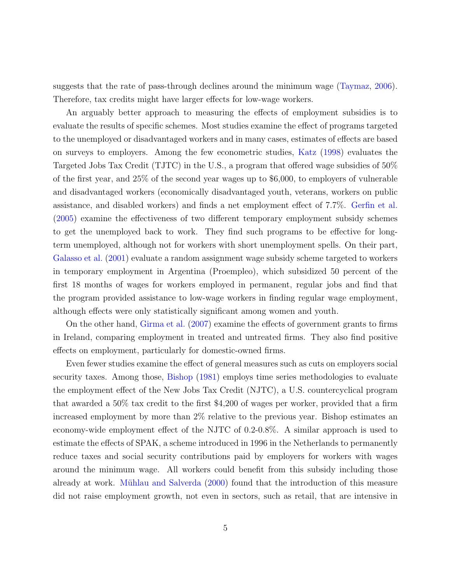suggests that the rate of pass-through declines around the minimum wage [\(Taymaz,](#page-29-4) [2006\)](#page-29-4). Therefore, tax credits might have larger effects for low-wage workers.

An arguably better approach to measuring the effects of employment subsidies is to evaluate the results of specific schemes. Most studies examine the effect of programs targeted to the unemployed or disadvantaged workers and in many cases, estimates of effects are based on surveys to employers. Among the few econometric studies, [Katz](#page-29-5) [\(1998\)](#page-29-5) evaluates the Targeted Jobs Tax Credit (TJTC) in the U.S., a program that offered wage subsidies of 50% of the first year, and 25% of the second year wages up to \$6,000, to employers of vulnerable and disadvantaged workers (economically disadvantaged youth, veterans, workers on public assistance, and disabled workers) and finds a net employment effect of 7.7%. [Gerfin et al.](#page-28-5) [\(2005\)](#page-28-5) examine the effectiveness of two different temporary employment subsidy schemes to get the unemployed back to work. They find such programs to be effective for longterm unemployed, although not for workers with short unemployment spells. On their part, [Galasso et al.](#page-28-6) [\(2001\)](#page-28-6) evaluate a random assignment wage subsidy scheme targeted to workers in temporary employment in Argentina (Proempleo), which subsidized 50 percent of the first 18 months of wages for workers employed in permanent, regular jobs and find that the program provided assistance to low-wage workers in finding regular wage employment, although effects were only statistically significant among women and youth.

On the other hand, [Girma et al.](#page-28-7) [\(2007\)](#page-28-7) examine the effects of government grants to firms in Ireland, comparing employment in treated and untreated firms. They also find positive effects on employment, particularly for domestic-owned firms.

Even fewer studies examine the effect of general measures such as cuts on employers social security taxes. Among those, [Bishop](#page-28-8) [\(1981\)](#page-28-8) employs time series methodologies to evaluate the employment effect of the New Jobs Tax Credit (NJTC), a U.S. countercyclical program that awarded a 50% tax credit to the first \$4,200 of wages per worker, provided that a firm increased employment by more than 2% relative to the previous year. Bishop estimates an economy-wide employment effect of the NJTC of 0.2-0.8%. A similar approach is used to estimate the effects of SPAK, a scheme introduced in 1996 in the Netherlands to permanently reduce taxes and social security contributions paid by employers for workers with wages around the minimum wage. All workers could benefit from this subsidy including those already at work. Mühlau and Salverda [\(2000\)](#page-29-6) found that the introduction of this measure did not raise employment growth, not even in sectors, such as retail, that are intensive in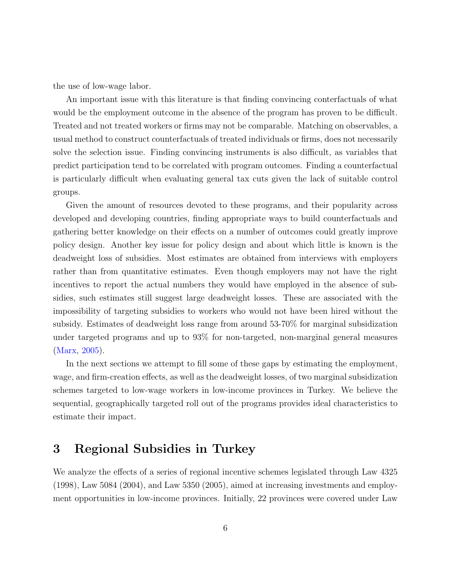the use of low-wage labor.

An important issue with this literature is that finding convincing conterfactuals of what would be the employment outcome in the absence of the program has proven to be difficult. Treated and not treated workers or firms may not be comparable. Matching on observables, a usual method to construct counterfactuals of treated individuals or firms, does not necessarily solve the selection issue. Finding convincing instruments is also difficult, as variables that predict participation tend to be correlated with program outcomes. Finding a counterfactual is particularly difficult when evaluating general tax cuts given the lack of suitable control groups.

Given the amount of resources devoted to these programs, and their popularity across developed and developing countries, finding appropriate ways to build counterfactuals and gathering better knowledge on their effects on a number of outcomes could greatly improve policy design. Another key issue for policy design and about which little is known is the deadweight loss of subsidies. Most estimates are obtained from interviews with employers rather than from quantitative estimates. Even though employers may not have the right incentives to report the actual numbers they would have employed in the absence of subsidies, such estimates still suggest large deadweight losses. These are associated with the impossibility of targeting subsidies to workers who would not have been hired without the subsidy. Estimates of deadweight loss range from around 53-70% for marginal subsidization under targeted programs and up to 93% for non-targeted, non-marginal general measures [\(Marx,](#page-29-7) [2005\)](#page-29-7).

In the next sections we attempt to fill some of these gaps by estimating the employment, wage, and firm-creation effects, as well as the deadweight losses, of two marginal subsidization schemes targeted to low-wage workers in low-income provinces in Turkey. We believe the sequential, geographically targeted roll out of the programs provides ideal characteristics to estimate their impact.

## <span id="page-7-0"></span>3 Regional Subsidies in Turkey

We analyze the effects of a series of regional incentive schemes legislated through Law 4325 (1998), Law 5084 (2004), and Law 5350 (2005), aimed at increasing investments and employment opportunities in low-income provinces. Initially, 22 provinces were covered under Law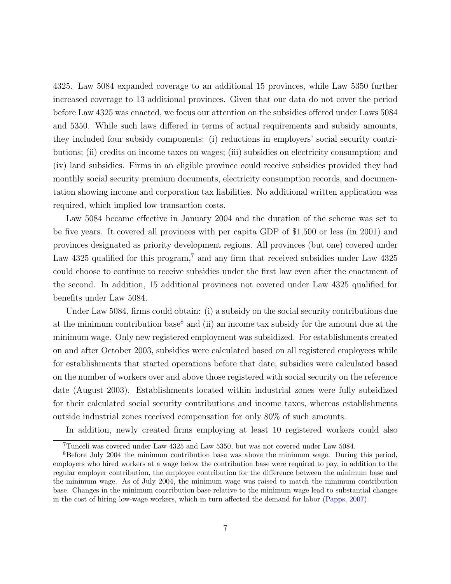4325. Law 5084 expanded coverage to an additional 15 provinces, while Law 5350 further increased coverage to 13 additional provinces. Given that our data do not cover the period before Law 4325 was enacted, we focus our attention on the subsidies offered under Laws 5084 and 5350. While such laws differed in terms of actual requirements and subsidy amounts, they included four subsidy components: (i) reductions in employers' social security contributions; (ii) credits on income taxes on wages; (iii) subsidies on electricity consumption; and (iv) land subsidies. Firms in an eligible province could receive subsidies provided they had monthly social security premium documents, electricity consumption records, and documentation showing income and corporation tax liabilities. No additional written application was required, which implied low transaction costs.

Law 5084 became effective in January 2004 and the duration of the scheme was set to be five years. It covered all provinces with per capita GDP of \$1,500 or less (in 2001) and provinces designated as priority development regions. All provinces (but one) covered under Law 4325 qualified for this program,<sup>[7](#page-8-0)</sup> and any firm that received subsidies under Law  $4325$ could choose to continue to receive subsidies under the first law even after the enactment of the second. In addition, 15 additional provinces not covered under Law 4325 qualified for benefits under Law 5084.

Under Law 5084, firms could obtain: (i) a subsidy on the social security contributions due at the minimum contribution base<sup>[8](#page-8-1)</sup> and (ii) an income tax subsidy for the amount due at the minimum wage. Only new registered employment was subsidized. For establishments created on and after October 2003, subsidies were calculated based on all registered employees while for establishments that started operations before that date, subsidies were calculated based on the number of workers over and above those registered with social security on the reference date (August 2003). Establishments located within industrial zones were fully subsidized for their calculated social security contributions and income taxes, whereas establishments outside industrial zones received compensation for only 80% of such amounts.

In addition, newly created firms employing at least 10 registered workers could also

<span id="page-8-1"></span><span id="page-8-0"></span><sup>7</sup>Tunceli was covered under Law 4325 and Law 5350, but was not covered under Law 5084.

<sup>&</sup>lt;sup>8</sup>Before July 2004 the minimum contribution base was above the minimum wage. During this period, employers who hired workers at a wage below the contribution base were required to pay, in addition to the regular employer contribution, the employee contribution for the difference between the minimum base and the minimum wage. As of July 2004, the minimum wage was raised to match the minimum contribution base. Changes in the minimum contribution base relative to the minimum wage lead to substantial changes in the cost of hiring low-wage workers, which in turn affected the demand for labor [\(Papps,](#page-29-8) [2007\)](#page-29-8).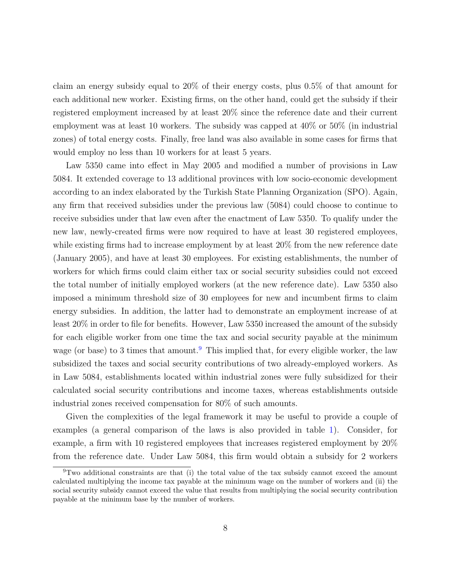claim an energy subsidy equal to 20% of their energy costs, plus 0.5% of that amount for each additional new worker. Existing firms, on the other hand, could get the subsidy if their registered employment increased by at least 20% since the reference date and their current employment was at least 10 workers. The subsidy was capped at 40% or 50% (in industrial zones) of total energy costs. Finally, free land was also available in some cases for firms that would employ no less than 10 workers for at least 5 years.

Law 5350 came into effect in May 2005 and modified a number of provisions in Law 5084. It extended coverage to 13 additional provinces with low socio-economic development according to an index elaborated by the Turkish State Planning Organization (SPO). Again, any firm that received subsidies under the previous law (5084) could choose to continue to receive subsidies under that law even after the enactment of Law 5350. To qualify under the new law, newly-created firms were now required to have at least 30 registered employees, while existing firms had to increase employment by at least 20% from the new reference date (January 2005), and have at least 30 employees. For existing establishments, the number of workers for which firms could claim either tax or social security subsidies could not exceed the total number of initially employed workers (at the new reference date). Law 5350 also imposed a minimum threshold size of 30 employees for new and incumbent firms to claim energy subsidies. In addition, the latter had to demonstrate an employment increase of at least 20% in order to file for benefits. However, Law 5350 increased the amount of the subsidy for each eligible worker from one time the tax and social security payable at the minimum wage (or base) to 3 times that amount.<sup>[9](#page-9-0)</sup> This implied that, for every eligible worker, the law subsidized the taxes and social security contributions of two already-employed workers. As in Law 5084, establishments located within industrial zones were fully subsidized for their calculated social security contributions and income taxes, whereas establishments outside industrial zones received compensation for 80% of such amounts.

Given the complexities of the legal framework it may be useful to provide a couple of examples (a general comparison of the laws is also provided in table [1\)](#page--1-0). Consider, for example, a firm with 10 registered employees that increases registered employment by 20% from the reference date. Under Law 5084, this firm would obtain a subsidy for 2 workers

<span id="page-9-0"></span><sup>9</sup>Two additional constraints are that (i) the total value of the tax subsidy cannot exceed the amount calculated multiplying the income tax payable at the minimum wage on the number of workers and (ii) the social security subsidy cannot exceed the value that results from multiplying the social security contribution payable at the minimum base by the number of workers.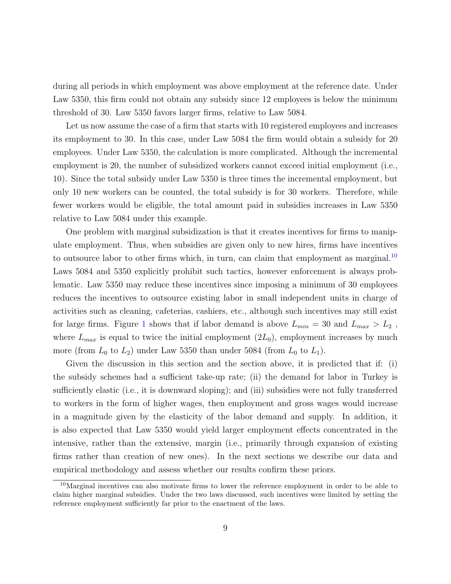during all periods in which employment was above employment at the reference date. Under Law 5350, this firm could not obtain any subsidy since 12 employees is below the minimum threshold of 30. Law 5350 favors larger firms, relative to Law 5084.

Let us now assume the case of a firm that starts with 10 registered employees and increases its employment to 30. In this case, under Law 5084 the firm would obtain a subsidy for 20 employees. Under Law 5350, the calculation is more complicated. Although the incremental employment is 20, the number of subsidized workers cannot exceed initial employment (i.e., 10). Since the total subsidy under Law 5350 is three times the incremental employment, but only 10 new workers can be counted, the total subsidy is for 30 workers. Therefore, while fewer workers would be eligible, the total amount paid in subsidies increases in Law 5350 relative to Law 5084 under this example.

One problem with marginal subsidization is that it creates incentives for firms to manipulate employment. Thus, when subsidies are given only to new hires, firms have incentives to outsource labor to other firms which, in turn, can claim that employment as marginal.<sup>[10](#page-10-0)</sup> Laws 5084 and 5350 explicitly prohibit such tactics, however enforcement is always problematic. Law 5350 may reduce these incentives since imposing a minimum of 30 employees reduces the incentives to outsource existing labor in small independent units in charge of activities such as cleaning, cafeterias, cashiers, etc., although such incentives may still exist for large firms. Figure [1](#page-30-0) shows that if labor demand is above  $L_{min} = 30$  and  $L_{max} > L_2$ , where  $L_{max}$  is equal to twice the initial employment  $(2L_0)$ , employment increases by much more (from  $L_0$  to  $L_2$ ) under Law 5350 than under 5084 (from  $L_0$  to  $L_1$ ).

Given the discussion in this section and the section above, it is predicted that if: (i) the subsidy schemes had a sufficient take-up rate; (ii) the demand for labor in Turkey is sufficiently elastic (i.e., it is downward sloping); and (iii) subsidies were not fully transferred to workers in the form of higher wages, then employment and gross wages would increase in a magnitude given by the elasticity of the labor demand and supply. In addition, it is also expected that Law 5350 would yield larger employment effects concentrated in the intensive, rather than the extensive, margin (i.e., primarily through expansion of existing firms rather than creation of new ones). In the next sections we describe our data and empirical methodology and assess whether our results confirm these priors.

<span id="page-10-0"></span><sup>10</sup>Marginal incentives can also motivate firms to lower the reference employment in order to be able to claim higher marginal subsidies. Under the two laws discussed, such incentives were limited by setting the reference employment sufficiently far prior to the enactment of the laws.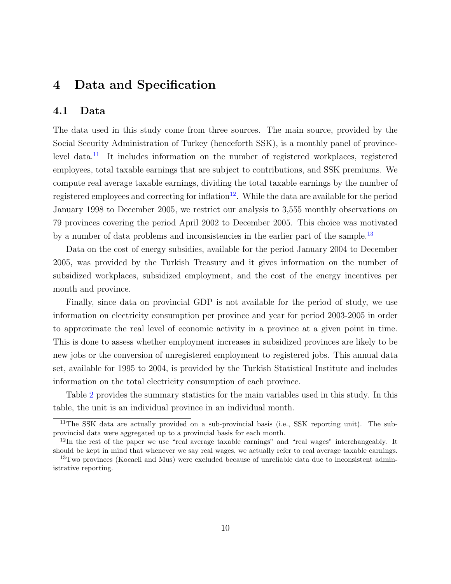## <span id="page-11-0"></span>4 Data and Specification

#### 4.1 Data

The data used in this study come from three sources. The main source, provided by the Social Security Administration of Turkey (henceforth SSK), is a monthly panel of provincelevel data.[11](#page-11-1) It includes information on the number of registered workplaces, registered employees, total taxable earnings that are subject to contributions, and SSK premiums. We compute real average taxable earnings, dividing the total taxable earnings by the number of registered employees and correcting for inflation<sup>[12](#page-11-2)</sup>. While the data are available for the period January 1998 to December 2005, we restrict our analysis to 3,555 monthly observations on 79 provinces covering the period April 2002 to December 2005. This choice was motivated by a number of data problems and inconsistencies in the earlier part of the sample.<sup>[13](#page-11-3)</sup>

Data on the cost of energy subsidies, available for the period January 2004 to December 2005, was provided by the Turkish Treasury and it gives information on the number of subsidized workplaces, subsidized employment, and the cost of the energy incentives per month and province.

Finally, since data on provincial GDP is not available for the period of study, we use information on electricity consumption per province and year for period 2003-2005 in order to approximate the real level of economic activity in a province at a given point in time. This is done to assess whether employment increases in subsidized provinces are likely to be new jobs or the conversion of unregistered employment to registered jobs. This annual data set, available for 1995 to 2004, is provided by the Turkish Statistical Institute and includes information on the total electricity consumption of each province.

Table [2](#page--1-1) provides the summary statistics for the main variables used in this study. In this table, the unit is an individual province in an individual month.

<span id="page-11-1"></span> $11$ The SSK data are actually provided on a sub-provincial basis (i.e., SSK reporting unit). The subprovincial data were aggregated up to a provincial basis for each month.

<span id="page-11-2"></span> $12$ In the rest of the paper we use "real average taxable earnings" and "real wages" interchangeably. It should be kept in mind that whenever we say real wages, we actually refer to real average taxable earnings.

<span id="page-11-3"></span><sup>&</sup>lt;sup>13</sup>Two provinces (Kocaeli and Mus) were excluded because of unreliable data due to inconsistent administrative reporting.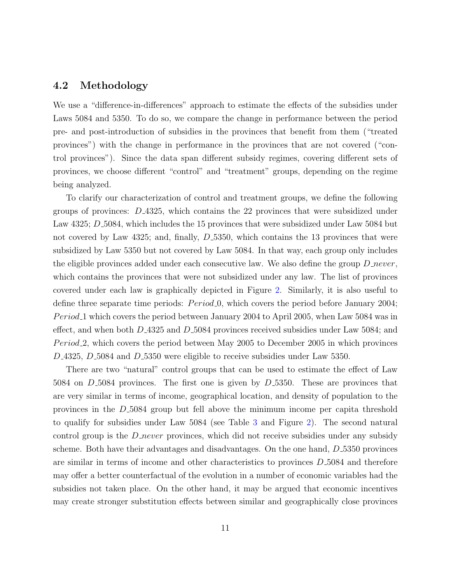#### 4.2 Methodology

We use a "difference-in-differences" approach to estimate the effects of the subsidies under Laws 5084 and 5350. To do so, we compare the change in performance between the period pre- and post-introduction of subsidies in the provinces that benefit from them ("treated provinces") with the change in performance in the provinces that are not covered ("control provinces"). Since the data span different subsidy regimes, covering different sets of provinces, we choose different "control" and "treatment" groups, depending on the regime being analyzed.

To clarify our characterization of control and treatment groups, we define the following groups of provinces:  $D_{-}4325$ , which contains the 22 provinces that were subsidized under Law 4325; D<sub>-5084</sub>, which includes the 15 provinces that were subsidized under Law 5084 but not covered by Law 4325; and, finally,  $D_{-}5350$ , which contains the 13 provinces that were subsidized by Law 5350 but not covered by Law 5084. In that way, each group only includes the eligible provinces added under each consecutive law. We also define the group  $D_{\text{.}never}$ , which contains the provinces that were not subsidized under any law. The list of provinces covered under each law is graphically depicted in Figure [2.](#page-30-1) Similarly, it is also useful to define three separate time periods:  $Period_0$ , which covers the period before January 2004; Period<sub>-1</sub> which covers the period between January 2004 to April 2005, when Law 5084 was in effect, and when both  $D_{-}4325$  and  $D_{-}5084$  provinces received subsidies under Law 5084; and  $Period 2$ , which covers the period between May 2005 to December 2005 in which provinces D<sub>-4325</sub>, D<sub>-5084</sub> and D<sub>-5350</sub> were eligible to receive subsidies under Law 5350.

There are two "natural" control groups that can be used to estimate the effect of Law 5084 on D 5084 provinces. The first one is given by D 5350. These are provinces that are very similar in terms of income, geographical location, and density of population to the provinces in the D 5084 group but fell above the minimum income per capita threshold to qualify for subsidies under Law 5084 (see Table [3](#page--1-2) and Figure [2\)](#page-30-1). The second natural control group is the  $D$ -never provinces, which did not receive subsidies under any subsidy scheme. Both have their advantages and disadvantages. On the one hand,  $D_{-}5350$  provinces are similar in terms of income and other characteristics to provinces D 5084 and therefore may offer a better counterfactual of the evolution in a number of economic variables had the subsidies not taken place. On the other hand, it may be argued that economic incentives may create stronger substitution effects between similar and geographically close provinces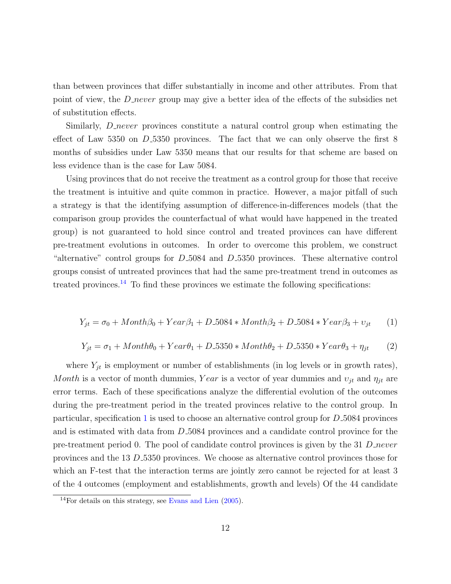than between provinces that differ substantially in income and other attributes. From that point of view, the D never group may give a better idea of the effects of the subsidies net of substitution effects.

Similarly, *D\_never* provinces constitute a natural control group when estimating the effect of Law 5350 on  $D_{-}$ 5350 provinces. The fact that we can only observe the first 8 months of subsidies under Law 5350 means that our results for that scheme are based on less evidence than is the case for Law 5084.

Using provinces that do not receive the treatment as a control group for those that receive the treatment is intuitive and quite common in practice. However, a major pitfall of such a strategy is that the identifying assumption of difference-in-differences models (that the comparison group provides the counterfactual of what would have happened in the treated group) is not guaranteed to hold since control and treated provinces can have different pre-treatment evolutions in outcomes. In order to overcome this problem, we construct "alternative" control groups for  $D_{-}5084$  and  $D_{-}5350$  provinces. These alternative control groups consist of untreated provinces that had the same pre-treatment trend in outcomes as treated provinces.<sup>[14](#page-13-0)</sup> To find these provinces we estimate the following specifications:

<span id="page-13-1"></span>
$$
Y_{jt} = \sigma_0 + Month\beta_0 + Year\beta_1 + D_5084 * Month\beta_2 + D_5084 * Year\beta_3 + v_{jt} \tag{1}
$$

<span id="page-13-2"></span>
$$
Y_{jt} = \sigma_1 + Month\theta_0 + Year\theta_1 + D_5350 * Month\theta_2 + D_5350 * Year\theta_3 + \eta_{jt} \tag{2}
$$

where  $Y_{jt}$  is employment or number of establishments (in log levels or in growth rates), Month is a vector of month dummies, Year is a vector of year dummies and  $v_{jt}$  and  $\eta_{jt}$  are error terms. Each of these specifications analyze the differential evolution of the outcomes during the pre-treatment period in the treated provinces relative to the control group. In particular, specification [1](#page-13-1) is used to choose an alternative control group for  $D_25084$  provinces and is estimated with data from D<sub>-5084</sub> provinces and a candidate control province for the pre-treatment period 0. The pool of candidate control provinces is given by the 31  $D$ -never provinces and the 13 D 5350 provinces. We choose as alternative control provinces those for which an F-test that the interaction terms are jointly zero cannot be rejected for at least 3 of the 4 outcomes (employment and establishments, growth and levels) Of the 44 candidate

<span id="page-13-0"></span><sup>14</sup>For details on this strategy, see [Evans and Lien](#page-28-9) [\(2005\)](#page-28-9).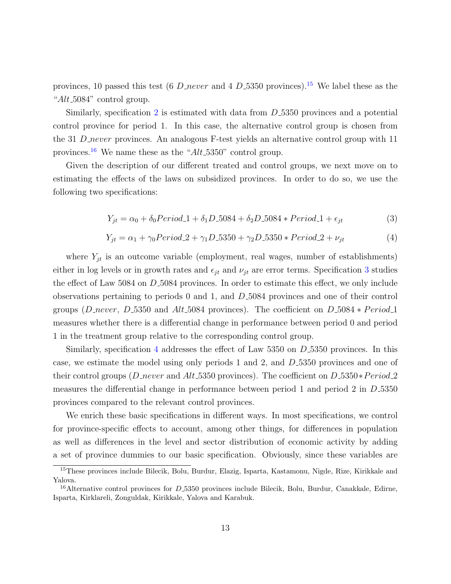provinces, 10 passed this test (6 D never and 4 D 5350 provinces).<sup>[15](#page-14-0)</sup> We label these as the " $Alt_5084$ " control group.

Similarly, specification [2](#page-13-2) is estimated with data from  $D_{-}5350$  provinces and a potential control province for period 1. In this case, the alternative control group is chosen from the 31 D never provinces. An analogous F-test yields an alternative control group with 11 provinces.<sup>[16](#page-14-1)</sup> We name these as the " $Alt_5350$ " control group.

Given the description of our different treated and control groups, we next move on to estimating the effects of the laws on subsidized provinces. In order to do so, we use the following two specifications:

<span id="page-14-2"></span>
$$
Y_{jt} = \alpha_0 + \delta_0 Period \cdot 1 + \delta_1 D \cdot 5084 + \delta_2 D \cdot 5084 * Period \cdot 1 + \epsilon_{jt}
$$
\n
$$
\tag{3}
$$

<span id="page-14-3"></span>
$$
Y_{jt} = \alpha_1 + \gamma_0 Period \_2 + \gamma_1 D \_5350 + \gamma_2 D \_5350 * Period \_2 + \nu_{jt}
$$
\n(4)

where  $Y_{jt}$  is an outcome variable (employment, real wages, number of establishments) either in log levels or in growth rates and  $\epsilon_{jt}$  and  $\nu_{jt}$  are error terms. Specification [3](#page-14-2) studies the effect of Law 5084 on  $D_{\text{-}}5084$  provinces. In order to estimate this effect, we only include observations pertaining to periods  $0$  and  $1$ , and  $D_{-}5084$  provinces and one of their control groups (D\_never, D\_5350 and Alt\_5084 provinces). The coefficient on  $D_5084 * Period_1$ measures whether there is a differential change in performance between period 0 and period 1 in the treatment group relative to the corresponding control group.

Similarly, specification [4](#page-14-3) addresses the effect of Law 5350 on  $D_{-}$ 5350 provinces. In this case, we estimate the model using only periods 1 and 2, and  $D_{-}5350$  provinces and one of their control groups (D\_never and  $Alt$ -5350 provinces). The coefficient on D-5350 $*Period_2$ measures the differential change in performance between period 1 and period 2 in  $D_{-}5350$ provinces compared to the relevant control provinces.

We enrich these basic specifications in different ways. In most specifications, we control for province-specific effects to account, among other things, for differences in population as well as differences in the level and sector distribution of economic activity by adding a set of province dummies to our basic specification. Obviously, since these variables are

<span id="page-14-0"></span><sup>&</sup>lt;sup>15</sup>These provinces include Bilecik, Bolu, Burdur, Elazig, Isparta, Kastamonu, Nigde, Rize, Kirikkale and Yalova.

<span id="page-14-1"></span><sup>&</sup>lt;sup>16</sup>Alternative control provinces for D-5350 provinces include Bilecik, Bolu, Burdur, Canakkale, Edirne, Isparta, Kirklareli, Zonguldak, Kirikkale, Yalova and Karabuk.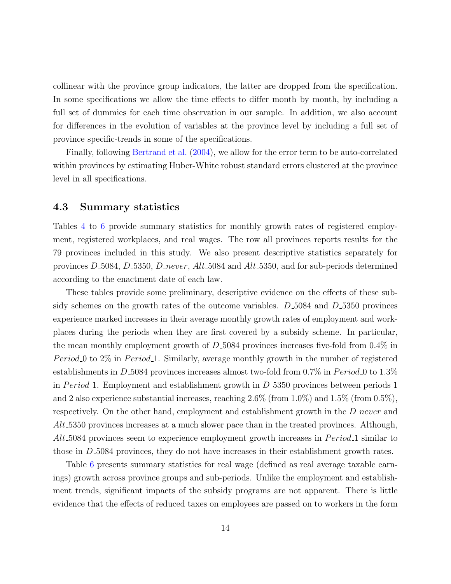collinear with the province group indicators, the latter are dropped from the specification. In some specifications we allow the time effects to differ month by month, by including a full set of dummies for each time observation in our sample. In addition, we also account for differences in the evolution of variables at the province level by including a full set of province specific-trends in some of the specifications.

Finally, following [Bertrand et al.](#page-28-10) [\(2004\)](#page-28-10), we allow for the error term to be auto-correlated within provinces by estimating Huber-White robust standard errors clustered at the province level in all specifications.

#### 4.3 Summary statistics

Tables [4](#page--1-3) to [6](#page--1-4) provide summary statistics for monthly growth rates of registered employment, registered workplaces, and real wages. The row all provinces reports results for the 79 provinces included in this study. We also present descriptive statistics separately for provinces D.5084, D.5350, D.never, Alt 5084 and Alt 5350, and for sub-periods determined according to the enactment date of each law.

These tables provide some preliminary, descriptive evidence on the effects of these subsidy schemes on the growth rates of the outcome variables.  $D_{-}5084$  and  $D_{-}5350$  provinces experience marked increases in their average monthly growth rates of employment and workplaces during the periods when they are first covered by a subsidy scheme. In particular, the mean monthly employment growth of  $D_{\text{-}}5084$  provinces increases five-fold from 0.4% in  $Period_0$  to  $2\%$  in  $Period_1$ . Similarly, average monthly growth in the number of registered establishments in  $D_{.}5084$  provinces increases almost two-fold from 0.7% in  $Period_{.}0$  to 1.3% in  $Period.1$ . Employment and establishment growth in  $D.5350$  provinces between periods 1 and 2 also experience substantial increases, reaching  $2.6\%$  (from  $1.0\%$ ) and  $1.5\%$  (from  $0.5\%$ ), respectively. On the other hand, employment and establishment growth in the  $D_{\text{never}}$  and  $Alt_2$  5350 provinces increases at a much slower pace than in the treated provinces. Although,  $Alt_5084$  provinces seem to experience employment growth increases in  $Period_1$  similar to those in D<sub>-5084</sub> provinces, they do not have increases in their establishment growth rates.

Table [6](#page--1-4) presents summary statistics for real wage (defined as real average taxable earnings) growth across province groups and sub-periods. Unlike the employment and establishment trends, significant impacts of the subsidy programs are not apparent. There is little evidence that the effects of reduced taxes on employees are passed on to workers in the form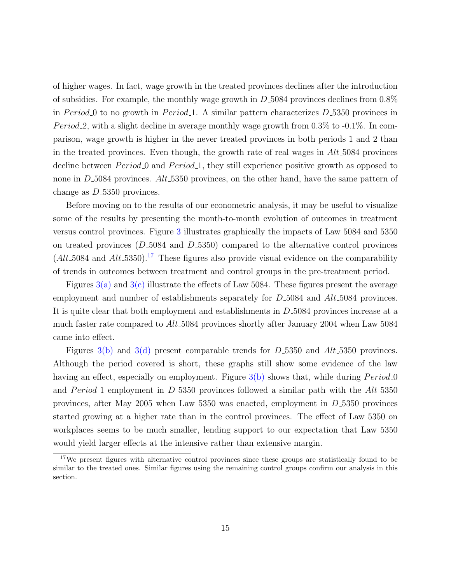of higher wages. In fact, wage growth in the treated provinces declines after the introduction of subsidies. For example, the monthly wage growth in  $D_{-}5084$  provinces declines from  $0.8\%$ in Period 0 to no growth in Period 1. A similar pattern characterizes  $D_{-}5350$  provinces in *Period* 2, with a slight decline in average monthly wage growth from 0.3% to -0.1%. In comparison, wage growth is higher in the never treated provinces in both periods 1 and 2 than in the treated provinces. Even though, the growth rate of real wages in  $Alt_5084$  provinces decline between  $Period_0$  and  $Period_{-1}$ , they still experience positive growth as opposed to none in D<sub>-5084</sub> provinces.  $Alt_{.}5350$  provinces, on the other hand, have the same pattern of change as  $D_{-}5350$  provinces.

Before moving on to the results of our econometric analysis, it may be useful to visualize some of the results by presenting the month-to-month evolution of outcomes in treatment versus control provinces. Figure [3](#page-31-0) illustrates graphically the impacts of Law 5084 and 5350 on treated provinces  $(D_5084 \text{ and } D_5350)$  compared to the alternative control provinces  $(Alt_5084$  and  $Alt_5350).$ <sup>[17](#page-16-0)</sup> These figures also provide visual evidence on the comparability of trends in outcomes between treatment and control groups in the pre-treatment period.

Figures  $3(a)$  and  $3(c)$  illustrate the effects of Law 5084. These figures present the average employment and number of establishments separately for  $D_{\text{-}}5084$  and  $Alt_{\text{-}}5084$  provinces. It is quite clear that both employment and establishments in D<sub>-5084</sub> provinces increase at a much faster rate compared to Alt 5084 provinces shortly after January 2004 when Law 5084 came into effect.

Figures [3\(b\)](#page-31-3) and [3\(d\)](#page-31-4) present comparable trends for  $D_{-}5350$  and  $Alt_{-}5350$  provinces. Although the period covered is short, these graphs still show some evidence of the law having an effect, especially on employment. Figure  $3(b)$  shows that, while during  $Period_0$ and Period 1 employment in D-5350 provinces followed a similar path with the  $Alt$ -5350 provinces, after May 2005 when Law  $5350$  was enacted, employment in  $D_{-}5350$  provinces started growing at a higher rate than in the control provinces. The effect of Law 5350 on workplaces seems to be much smaller, lending support to our expectation that Law 5350 would yield larger effects at the intensive rather than extensive margin.

<span id="page-16-0"></span><sup>&</sup>lt;sup>17</sup>We present figures with alternative control provinces since these groups are statistically found to be similar to the treated ones. Similar figures using the remaining control groups confirm our analysis in this section.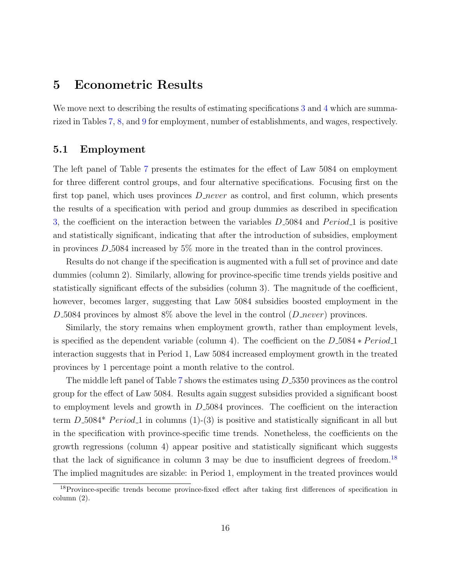#### <span id="page-17-0"></span>5 Econometric Results

We move next to describing the results of estimating specifications [3](#page-14-2) and [4](#page-14-3) which are summarized in Tables [7,](#page--1-5) [8,](#page--1-6) and [9](#page--1-7) for employment, number of establishments, and wages, respectively.

#### 5.1 Employment

The left panel of Table [7](#page--1-5) presents the estimates for the effect of Law 5084 on employment for three different control groups, and four alternative specifications. Focusing first on the first top panel, which uses provinces  $D_{\text{.}}$  never as control, and first column, which presents the results of a specification with period and group dummies as described in specification [3,](#page-14-2) the coefficient on the interaction between the variables  $D_{-}5084$  and  $Period_{-}1$  is positive and statistically significant, indicating that after the introduction of subsidies, employment in provinces  $D_{\text{-}}5084$  increased by 5% more in the treated than in the control provinces.

Results do not change if the specification is augmented with a full set of province and date dummies (column 2). Similarly, allowing for province-specific time trends yields positive and statistically significant effects of the subsidies (column 3). The magnitude of the coefficient, however, becomes larger, suggesting that Law 5084 subsidies boosted employment in the D 5084 provinces by almost 8% above the level in the control  $(D_{\textit{never}})$  provinces.

Similarly, the story remains when employment growth, rather than employment levels, is specified as the dependent variable (column 4). The coefficient on the  $D_{\text{-}}5084 * Period_{\text{-}}1$ interaction suggests that in Period 1, Law 5084 increased employment growth in the treated provinces by 1 percentage point a month relative to the control.

The middle left panel of Table  $7$  shows the estimates using  $D_{-}5350$  provinces as the control group for the effect of Law 5084. Results again suggest subsidies provided a significant boost to employment levels and growth in  $D_{-}5084$  provinces. The coefficient on the interaction term  $D_5084* Period_1$  in columns (1)-(3) is positive and statistically significant in all but in the specification with province-specific time trends. Nonetheless, the coefficients on the growth regressions (column 4) appear positive and statistically significant which suggests that the lack of significance in column 3 may be due to insufficient degrees of freedom.<sup>[18](#page-17-1)</sup> The implied magnitudes are sizable: in Period 1, employment in the treated provinces would

<span id="page-17-1"></span><sup>18</sup>Province-specific trends become province-fixed effect after taking first differences of specification in column (2).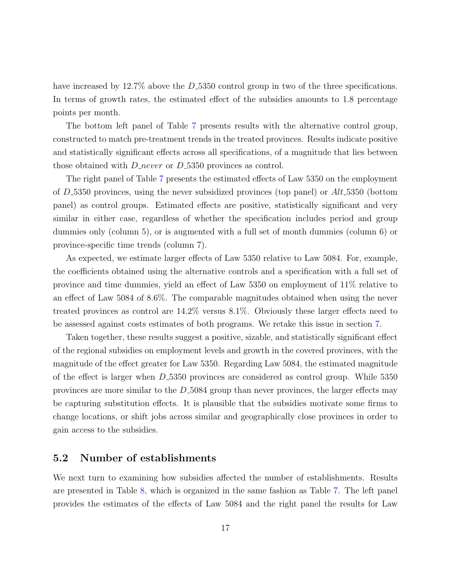have increased by  $12.7\%$  above the  $D_2$ -5350 control group in two of the three specifications. In terms of growth rates, the estimated effect of the subsidies amounts to 1.8 percentage points per month.

The bottom left panel of Table [7](#page--1-5) presents results with the alternative control group, constructed to match pre-treatment trends in the treated provinces. Results indicate positive and statistically significant effects across all specifications, of a magnitude that lies between those obtained with  $D_{\text{.}}$  never or  $D_{\text{.}}$  5350 provinces as control.

The right panel of Table [7](#page--1-5) presents the estimated effects of Law 5350 on the employment of D<sub>-5350</sub> provinces, using the never subsidized provinces (top panel) or  $Alt_{\tau}$ -5350 (bottom panel) as control groups. Estimated effects are positive, statistically significant and very similar in either case, regardless of whether the specification includes period and group dummies only (column 5), or is augmented with a full set of month dummies (column 6) or province-specific time trends (column 7).

As expected, we estimate larger effects of Law 5350 relative to Law 5084. For, example, the coefficients obtained using the alternative controls and a specification with a full set of province and time dummies, yield an effect of Law 5350 on employment of 11% relative to an effect of Law 5084 of 8.6%. The comparable magnitudes obtained when using the never treated provinces as control are 14.2% versus 8.1%. Obviously these larger effects need to be assessed against costs estimates of both programs. We retake this issue in section [7.](#page-24-0)

Taken together, these results suggest a positive, sizable, and statistically significant effect of the regional subsidies on employment levels and growth in the covered provinces, with the magnitude of the effect greater for Law 5350. Regarding Law 5084, the estimated magnitude of the effect is larger when  $D_{-}5350$  provinces are considered as control group. While  $5350$ provinces are more similar to the  $D_{1}5084$  group than never provinces, the larger effects may be capturing substitution effects. It is plausible that the subsidies motivate some firms to change locations, or shift jobs across similar and geographically close provinces in order to gain access to the subsidies.

#### 5.2 Number of establishments

We next turn to examining how subsidies affected the number of establishments. Results are presented in Table [8,](#page--1-6) which is organized in the same fashion as Table [7.](#page--1-5) The left panel provides the estimates of the effects of Law 5084 and the right panel the results for Law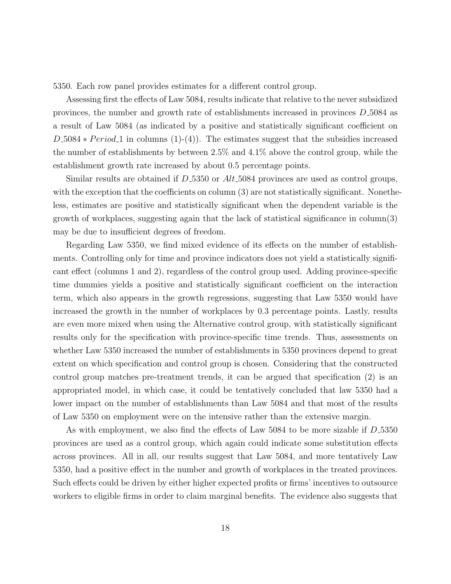5350. Each row panel provides estimates for a different control group.

Assessing first the effects of Law 5084, results indicate that relative to the never subsidized provinces, the number and growth rate of establishments increased in provinces D 5084 as a result of Law 5084 (as indicated by a positive and statistically significant coefficient on  $D_{\text{-}}5084 * Period_{\text{-}}1$  in columns (1)-(4)). The estimates suggest that the subsidies increased the number of establishments by between 2.5% and 4.1% above the control group, while the establishment growth rate increased by about 0.5 percentage points.

Similar results are obtained if  $D_{-}5350$  or  $Alt_{-}5084$  provinces are used as control groups, with the exception that the coefficients on column (3) are not statistically significant. Nonetheless, estimates are positive and statistically significant when the dependent variable is the growth of workplaces, suggesting again that the lack of statistical significance in column(3) may be due to insufficient degrees of freedom.

Regarding Law 5350, we find mixed evidence of its effects on the number of establishments. Controlling only for time and province indicators does not yield a statistically significant effect (columns 1 and 2), regardless of the control group used. Adding province-specific time dummies yields a positive and statistically significant coefficient on the interaction term, which also appears in the growth regressions, suggesting that Law 5350 would have increased the growth in the number of workplaces by 0.3 percentage points. Lastly, results are even more mixed when using the Alternative control group, with statistically significant results only for the specification with province-specific time trends. Thus, assessments on whether Law 5350 increased the number of establishments in 5350 provinces depend to great extent on which specification and control group is chosen. Considering that the constructed control group matches pre-treatment trends, it can be argued that specification (2) is an appropriated model, in which case, it could be tentatively concluded that law 5350 had a lower impact on the number of establishments than Law 5084 and that most of the results of Law 5350 on employment were on the intensive rather than the extensive margin.

As with employment, we also find the effects of Law  $5084$  to be more sizable if  $D_5350$ provinces are used as a control group, which again could indicate some substitution effects across provinces. All in all, our results suggest that Law 5084, and more tentatively Law 5350, had a positive effect in the number and growth of workplaces in the treated provinces. Such effects could be driven by either higher expected profits or firms' incentives to outsource workers to eligible firms in order to claim marginal benefits. The evidence also suggests that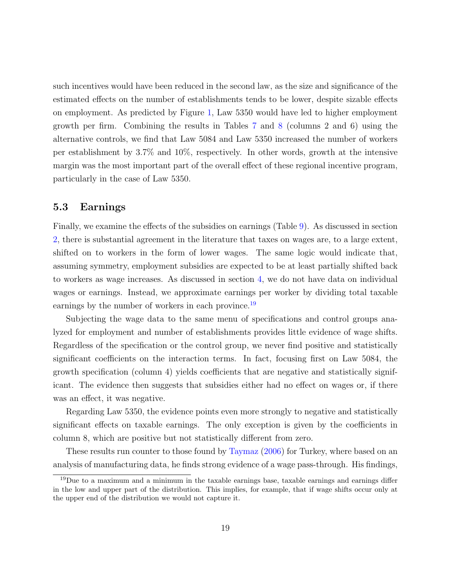such incentives would have been reduced in the second law, as the size and significance of the estimated effects on the number of establishments tends to be lower, despite sizable effects on employment. As predicted by Figure [1,](#page-30-0) Law 5350 would have led to higher employment growth per firm. Combining the results in Tables [7](#page--1-5) and [8](#page--1-6) (columns 2 and 6) using the alternative controls, we find that Law 5084 and Law 5350 increased the number of workers per establishment by 3.7% and 10%, respectively. In other words, growth at the intensive margin was the most important part of the overall effect of these regional incentive program, particularly in the case of Law 5350.

#### 5.3 Earnings

Finally, we examine the effects of the subsidies on earnings (Table [9\)](#page--1-7). As discussed in section [2,](#page-4-0) there is substantial agreement in the literature that taxes on wages are, to a large extent, shifted on to workers in the form of lower wages. The same logic would indicate that, assuming symmetry, employment subsidies are expected to be at least partially shifted back to workers as wage increases. As discussed in section [4,](#page-11-0) we do not have data on individual wages or earnings. Instead, we approximate earnings per worker by dividing total taxable earnings by the number of workers in each province.<sup>[19](#page-20-0)</sup>

Subjecting the wage data to the same menu of specifications and control groups analyzed for employment and number of establishments provides little evidence of wage shifts. Regardless of the specification or the control group, we never find positive and statistically significant coefficients on the interaction terms. In fact, focusing first on Law 5084, the growth specification (column 4) yields coefficients that are negative and statistically significant. The evidence then suggests that subsidies either had no effect on wages or, if there was an effect, it was negative.

Regarding Law 5350, the evidence points even more strongly to negative and statistically significant effects on taxable earnings. The only exception is given by the coefficients in column 8, which are positive but not statistically different from zero.

These results run counter to those found by [Taymaz](#page-29-4) [\(2006\)](#page-29-4) for Turkey, where based on an analysis of manufacturing data, he finds strong evidence of a wage pass-through. His findings,

<span id="page-20-0"></span> $19$ Due to a maximum and a minimum in the taxable earnings base, taxable earnings and earnings differ in the low and upper part of the distribution. This implies, for example, that if wage shifts occur only at the upper end of the distribution we would not capture it.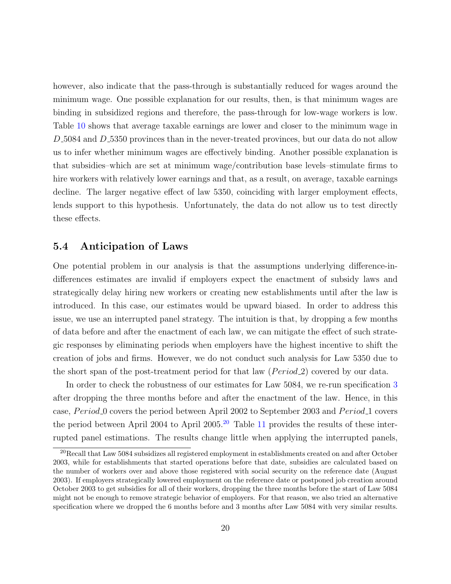however, also indicate that the pass-through is substantially reduced for wages around the minimum wage. One possible explanation for our results, then, is that minimum wages are binding in subsidized regions and therefore, the pass-through for low-wage workers is low. Table [10](#page--1-8) shows that average taxable earnings are lower and closer to the minimum wage in D 5084 and D 5350 provinces than in the never-treated provinces, but our data do not allow us to infer whether minimum wages are effectively binding. Another possible explanation is that subsidies–which are set at minimum wage/contribution base levels–stimulate firms to hire workers with relatively lower earnings and that, as a result, on average, taxable earnings decline. The larger negative effect of law 5350, coinciding with larger employment effects, lends support to this hypothesis. Unfortunately, the data do not allow us to test directly these effects.

#### 5.4 Anticipation of Laws

One potential problem in our analysis is that the assumptions underlying difference-indifferences estimates are invalid if employers expect the enactment of subsidy laws and strategically delay hiring new workers or creating new establishments until after the law is introduced. In this case, our estimates would be upward biased. In order to address this issue, we use an interrupted panel strategy. The intuition is that, by dropping a few months of data before and after the enactment of each law, we can mitigate the effect of such strategic responses by eliminating periods when employers have the highest incentive to shift the creation of jobs and firms. However, we do not conduct such analysis for Law 5350 due to the short span of the post-treatment period for that law ( $Period_2$ ) covered by our data.

In order to check the robustness of our estimates for Law 5084, we re-run specification [3](#page-14-2) after dropping the three months before and after the enactment of the law. Hence, in this case, Period 0 covers the period between April 2002 to September 2003 and Period 1 covers the period between April [20](#page-21-0)04 to April 2005.<sup>20</sup> Table [11](#page--1-9) provides the results of these interrupted panel estimations. The results change little when applying the interrupted panels,

<span id="page-21-0"></span><sup>&</sup>lt;sup>20</sup>Recall that Law 5084 subsidizes all registered employment in establishments created on and after October 2003, while for establishments that started operations before that date, subsidies are calculated based on the number of workers over and above those registered with social security on the reference date (August 2003). If employers strategically lowered employment on the reference date or postponed job creation around October 2003 to get subsidies for all of their workers, dropping the three months before the start of Law 5084 might not be enough to remove strategic behavior of employers. For that reason, we also tried an alternative specification where we dropped the 6 months before and 3 months after Law 5084 with very similar results.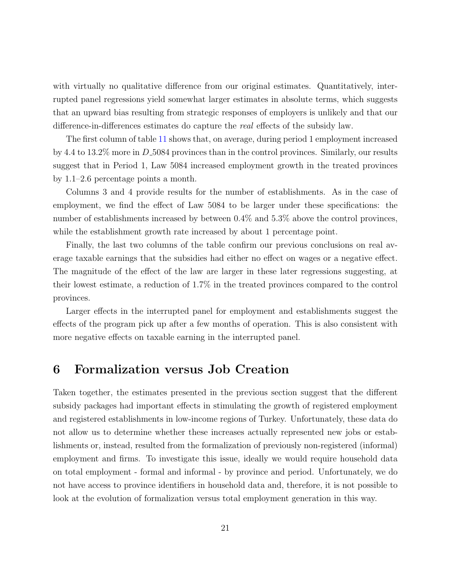with virtually no qualitative difference from our original estimates. Quantitatively, interrupted panel regressions yield somewhat larger estimates in absolute terms, which suggests that an upward bias resulting from strategic responses of employers is unlikely and that our difference-in-differences estimates do capture the real effects of the subsidy law.

The first column of table [11](#page--1-9) shows that, on average, during period 1 employment increased by 4.4 to 13.2% more in  $D_{\text{-}}5084$  provinces than in the control provinces. Similarly, our results suggest that in Period 1, Law 5084 increased employment growth in the treated provinces by 1.1–2.6 percentage points a month.

Columns 3 and 4 provide results for the number of establishments. As in the case of employment, we find the effect of Law 5084 to be larger under these specifications: the number of establishments increased by between  $0.4\%$  and  $5.3\%$  above the control provinces, while the establishment growth rate increased by about 1 percentage point.

Finally, the last two columns of the table confirm our previous conclusions on real average taxable earnings that the subsidies had either no effect on wages or a negative effect. The magnitude of the effect of the law are larger in these later regressions suggesting, at their lowest estimate, a reduction of 1.7% in the treated provinces compared to the control provinces.

Larger effects in the interrupted panel for employment and establishments suggest the effects of the program pick up after a few months of operation. This is also consistent with more negative effects on taxable earning in the interrupted panel.

## <span id="page-22-0"></span>6 Formalization versus Job Creation

Taken together, the estimates presented in the previous section suggest that the different subsidy packages had important effects in stimulating the growth of registered employment and registered establishments in low-income regions of Turkey. Unfortunately, these data do not allow us to determine whether these increases actually represented new jobs or establishments or, instead, resulted from the formalization of previously non-registered (informal) employment and firms. To investigate this issue, ideally we would require household data on total employment - formal and informal - by province and period. Unfortunately, we do not have access to province identifiers in household data and, therefore, it is not possible to look at the evolution of formalization versus total employment generation in this way.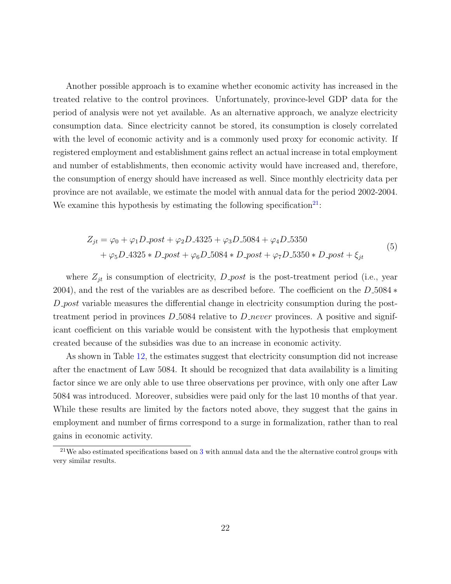Another possible approach is to examine whether economic activity has increased in the treated relative to the control provinces. Unfortunately, province-level GDP data for the period of analysis were not yet available. As an alternative approach, we analyze electricity consumption data. Since electricity cannot be stored, its consumption is closely correlated with the level of economic activity and is a commonly used proxy for economic activity. If registered employment and establishment gains reflect an actual increase in total employment and number of establishments, then economic activity would have increased and, therefore, the consumption of energy should have increased as well. Since monthly electricity data per province are not available, we estimate the model with annual data for the period 2002-2004. We examine this hypothesis by estimating the following specification<sup>[21](#page-23-0)</sup>:

$$
Z_{jt} = \varphi_0 + \varphi_1 D\_{post} + \varphi_2 D\_{4325} + \varphi_3 D\_{5084} + \varphi_4 D\_{5350}
$$
  
+  $\varphi_5 D\_{4325} * D\_{post} + \varphi_6 D\_{5084} * D\_{post} + \varphi_7 D\_{5350} * D\_{post} + \xi_{jt}$  (5)

where  $Z_{jt}$  is consumption of electricity, D post is the post-treatment period (i.e., year 2004), and the rest of the variables are as described before. The coefficient on the  $D_5084*$ D post variable measures the differential change in electricity consumption during the posttreatment period in provinces  $D_{-}5084$  relative to  $D_{-}never$  provinces. A positive and significant coefficient on this variable would be consistent with the hypothesis that employment created because of the subsidies was due to an increase in economic activity.

As shown in Table [12,](#page--1-10) the estimates suggest that electricity consumption did not increase after the enactment of Law 5084. It should be recognized that data availability is a limiting factor since we are only able to use three observations per province, with only one after Law 5084 was introduced. Moreover, subsidies were paid only for the last 10 months of that year. While these results are limited by the factors noted above, they suggest that the gains in employment and number of firms correspond to a surge in formalization, rather than to real gains in economic activity.

<span id="page-23-0"></span> $^{21}$ We also estimated specifications based on [3](#page-14-2) with annual data and the the alternative control groups with very similar results.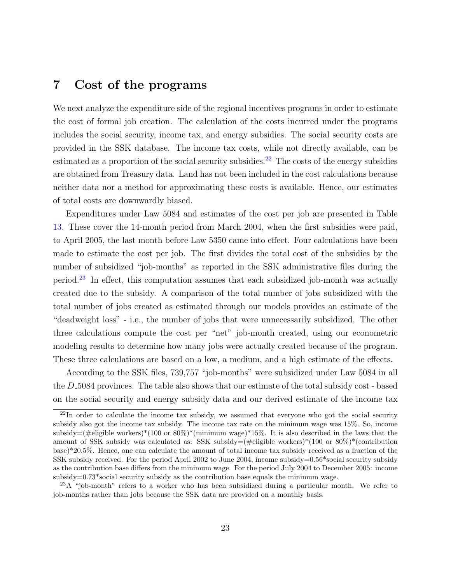## <span id="page-24-0"></span>7 Cost of the programs

We next analyze the expenditure side of the regional incentives programs in order to estimate the cost of formal job creation. The calculation of the costs incurred under the programs includes the social security, income tax, and energy subsidies. The social security costs are provided in the SSK database. The income tax costs, while not directly available, can be estimated as a proportion of the social security subsidies.<sup>[22](#page-24-1)</sup> The costs of the energy subsidies are obtained from Treasury data. Land has not been included in the cost calculations because neither data nor a method for approximating these costs is available. Hence, our estimates of total costs are downwardly biased.

Expenditures under Law 5084 and estimates of the cost per job are presented in Table [13.](#page--1-11) These cover the 14-month period from March 2004, when the first subsidies were paid, to April 2005, the last month before Law 5350 came into effect. Four calculations have been made to estimate the cost per job. The first divides the total cost of the subsidies by the number of subsidized "job-months" as reported in the SSK administrative files during the period.<sup>[23](#page-24-2)</sup> In effect, this computation assumes that each subsidized job-month was actually created due to the subsidy. A comparison of the total number of jobs subsidized with the total number of jobs created as estimated through our models provides an estimate of the "deadweight loss" - i.e., the number of jobs that were unnecessarily subsidized. The other three calculations compute the cost per "net" job-month created, using our econometric modeling results to determine how many jobs were actually created because of the program. These three calculations are based on a low, a medium, and a high estimate of the effects.

According to the SSK files, 739,757 "job-months" were subsidized under Law 5084 in all the  $D_{\text{-}}5084$  provinces. The table also shows that our estimate of the total subsidy cost - based on the social security and energy subsidy data and our derived estimate of the income tax

<span id="page-24-1"></span> $^{22}$ In order to calculate the income tax subsidy, we assumed that everyone who got the social security subsidy also got the income tax subsidy. The income tax rate on the minimum wage was 15%. So, income subsidy=(#eligible workers)\*(100 or  $80\%$ )\*(minimum wage)\*15%. It is also described in the laws that the amount of SSK subsidy was calculated as: SSK subsidy=(#eligible workers)\*(100 or 80%)\*(contribution base)\*20.5%. Hence, one can calculate the amount of total income tax subsidy received as a fraction of the SSK subsidy received. For the period April 2002 to June 2004, income subsidy=0.56\*social security subsidy as the contribution base differs from the minimum wage. For the period July 2004 to December 2005: income  $subsidy=0.73* social security subsidy as the contribution base equals the minimum wage.$ 

<span id="page-24-2"></span> $23A$  "job-month" refers to a worker who has been subsidized during a particular month. We refer to job-months rather than jobs because the SSK data are provided on a monthly basis.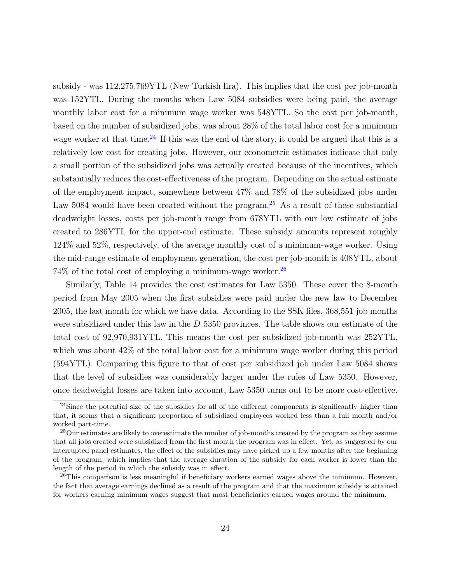subsidy - was 112,275,769YTL (New Turkish lira). This implies that the cost per job-month was 152YTL. During the months when Law 5084 subsidies were being paid, the average monthly labor cost for a minimum wage worker was 548YTL. So the cost per job-month, based on the number of subsidized jobs, was about 28% of the total labor cost for a minimum wage worker at that time.<sup>[24](#page-25-0)</sup> If this was the end of the story, it could be argued that this is a relatively low cost for creating jobs. However, our econometric estimates indicate that only a small portion of the subsidized jobs was actually created because of the incentives, which substantially reduces the cost-effectiveness of the program. Depending on the actual estimate of the employment impact, somewhere between 47% and 78% of the subsidized jobs under Law 5084 would have been created without the program.<sup>[25](#page-25-1)</sup> As a result of these substantial deadweight losses, costs per job-month range from 678YTL with our low estimate of jobs created to 286YTL for the upper-end estimate. These subsidy amounts represent roughly 124% and 52%, respectively, of the average monthly cost of a minimum-wage worker. Using the mid-range estimate of employment generation, the cost per job-month is 408YTL, about  $74\%$  of the total cost of employing a minimum-wage worker.<sup>[26](#page-25-2)</sup>

Similarly, Table [14](#page--1-12) provides the cost estimates for Law 5350. These cover the 8-month period from May 2005 when the first subsidies were paid under the new law to December 2005, the last month for which we have data. According to the SSK files, 368,551 job months were subsidized under this law in the  $D_{-}5350$  provinces. The table shows our estimate of the total cost of 92,970,931YTL. This means the cost per subsidized job-month was 252YTL, which was about 42% of the total labor cost for a minimum wage worker during this period (594YTL). Comparing this figure to that of cost per subsidized job under Law 5084 shows that the level of subsidies was considerably larger under the rules of Law 5350. However, once deadweight losses are taken into account, Law 5350 turns out to be more cost-effective.

<span id="page-25-0"></span><sup>&</sup>lt;sup>24</sup>Since the potential size of the subsidies for all of the different components is significantly higher than that, it seems that a significant proportion of subsidized employees worked less than a full month and/or worked part-time.

<span id="page-25-1"></span> $25$ Our estimates are likely to overestimate the number of job-months created by the program as they assume that all jobs created were subsidized from the first month the program was in effect. Yet, as suggested by our interrupted panel estimates, the effect of the subsidies may have picked up a few months after the beginning of the program, which implies that the average duration of the subsidy for each worker is lower than the length of the period in which the subsidy was in effect.

<span id="page-25-2"></span> $^{26}$ This comparison is less meaningful if beneficiary workers earned wages above the minimum. However, the fact that average earnings declined as a result of the program and that the maximum subsidy is attained for workers earning minimum wages suggest that most beneficiaries earned wages around the minimum.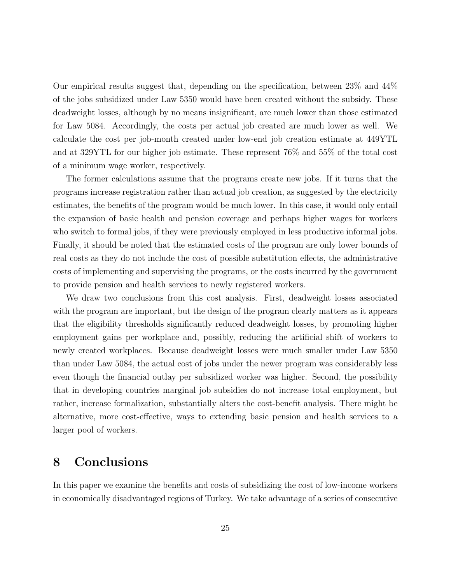Our empirical results suggest that, depending on the specification, between 23% and 44% of the jobs subsidized under Law 5350 would have been created without the subsidy. These deadweight losses, although by no means insignificant, are much lower than those estimated for Law 5084. Accordingly, the costs per actual job created are much lower as well. We calculate the cost per job-month created under low-end job creation estimate at 449YTL and at 329YTL for our higher job estimate. These represent 76% and 55% of the total cost of a minimum wage worker, respectively.

The former calculations assume that the programs create new jobs. If it turns that the programs increase registration rather than actual job creation, as suggested by the electricity estimates, the benefits of the program would be much lower. In this case, it would only entail the expansion of basic health and pension coverage and perhaps higher wages for workers who switch to formal jobs, if they were previously employed in less productive informal jobs. Finally, it should be noted that the estimated costs of the program are only lower bounds of real costs as they do not include the cost of possible substitution effects, the administrative costs of implementing and supervising the programs, or the costs incurred by the government to provide pension and health services to newly registered workers.

We draw two conclusions from this cost analysis. First, deadweight losses associated with the program are important, but the design of the program clearly matters as it appears that the eligibility thresholds significantly reduced deadweight losses, by promoting higher employment gains per workplace and, possibly, reducing the artificial shift of workers to newly created workplaces. Because deadweight losses were much smaller under Law 5350 than under Law 5084, the actual cost of jobs under the newer program was considerably less even though the financial outlay per subsidized worker was higher. Second, the possibility that in developing countries marginal job subsidies do not increase total employment, but rather, increase formalization, substantially alters the cost-benefit analysis. There might be alternative, more cost-effective, ways to extending basic pension and health services to a larger pool of workers.

## <span id="page-26-0"></span>8 Conclusions

In this paper we examine the benefits and costs of subsidizing the cost of low-income workers in economically disadvantaged regions of Turkey. We take advantage of a series of consecutive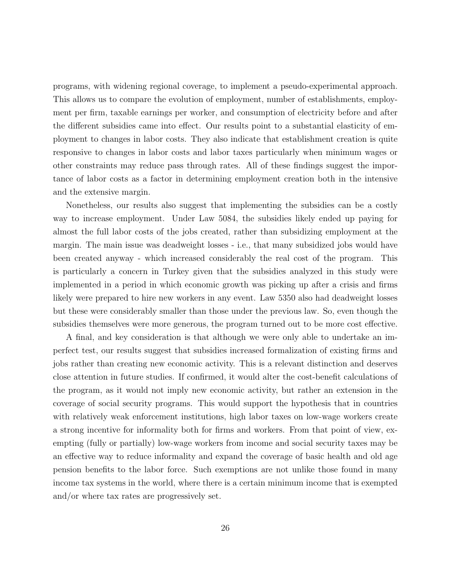programs, with widening regional coverage, to implement a pseudo-experimental approach. This allows us to compare the evolution of employment, number of establishments, employment per firm, taxable earnings per worker, and consumption of electricity before and after the different subsidies came into effect. Our results point to a substantial elasticity of employment to changes in labor costs. They also indicate that establishment creation is quite responsive to changes in labor costs and labor taxes particularly when minimum wages or other constraints may reduce pass through rates. All of these findings suggest the importance of labor costs as a factor in determining employment creation both in the intensive and the extensive margin.

Nonetheless, our results also suggest that implementing the subsidies can be a costly way to increase employment. Under Law 5084, the subsidies likely ended up paying for almost the full labor costs of the jobs created, rather than subsidizing employment at the margin. The main issue was deadweight losses - i.e., that many subsidized jobs would have been created anyway - which increased considerably the real cost of the program. This is particularly a concern in Turkey given that the subsidies analyzed in this study were implemented in a period in which economic growth was picking up after a crisis and firms likely were prepared to hire new workers in any event. Law 5350 also had deadweight losses but these were considerably smaller than those under the previous law. So, even though the subsidies themselves were more generous, the program turned out to be more cost effective.

A final, and key consideration is that although we were only able to undertake an imperfect test, our results suggest that subsidies increased formalization of existing firms and jobs rather than creating new economic activity. This is a relevant distinction and deserves close attention in future studies. If confirmed, it would alter the cost-benefit calculations of the program, as it would not imply new economic activity, but rather an extension in the coverage of social security programs. This would support the hypothesis that in countries with relatively weak enforcement institutions, high labor taxes on low-wage workers create a strong incentive for informality both for firms and workers. From that point of view, exempting (fully or partially) low-wage workers from income and social security taxes may be an effective way to reduce informality and expand the coverage of basic health and old age pension benefits to the labor force. Such exemptions are not unlike those found in many income tax systems in the world, where there is a certain minimum income that is exempted and/or where tax rates are progressively set.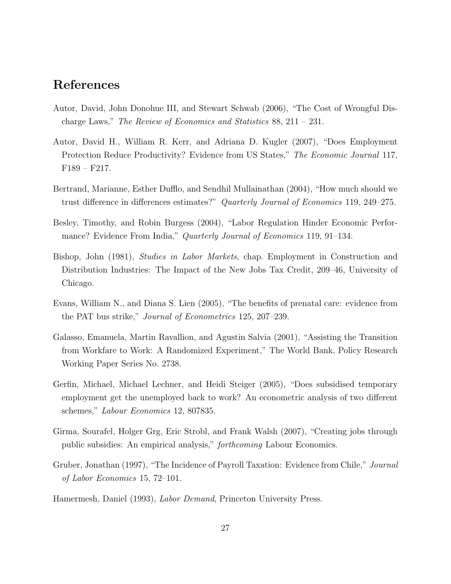## References

- <span id="page-28-0"></span>Autor, David, John Donohue III, and Stewart Schwab (2006), "The Cost of Wrongful Discharge Laws," The Review of Economics and Statistics 88, 211 – 231.
- <span id="page-28-1"></span>Autor, David H., William R. Kerr, and Adriana D. Kugler (2007), "Does Employment Protection Reduce Productivity? Evidence from US States," The Economic Journal 117, F189 – F217.
- <span id="page-28-10"></span>Bertrand, Marianne, Esther Dufflo, and Sendhil Mullainathan (2004), "How much should we trust difference in differences estimates?" Quarterly Journal of Economics 119, 249–275.
- <span id="page-28-2"></span>Besley, Timothy, and Robin Burgess (2004), "Labor Regulation Hinder Economic Performance? Evidence From India," Quarterly Journal of Economics 119, 91–134.
- <span id="page-28-8"></span>Bishop, John (1981), Studies in Labor Markets, chap. Employment in Construction and Distribution Industries: The Impact of the New Jobs Tax Credit, 209–46, University of Chicago.
- <span id="page-28-9"></span>Evans, William N., and Diana S. Lien (2005), "The benefits of prenatal care: evidence from the PAT bus strike," Journal of Econometrics 125, 207–239.
- <span id="page-28-6"></span>Galasso, Emanuela, Martin Ravallion, and Agustin Salvia (2001), "Assisting the Transition from Workfare to Work: A Randomized Experiment," The World Bank, Policy Research Working Paper Series No. 2738.
- <span id="page-28-5"></span>Gerfin, Michael, Michael Lechner, and Heidi Steiger (2005), "Does subsidised temporary employment get the unemployed back to work? An econometric analysis of two different schemes," Labour Economics 12, 807835.
- <span id="page-28-7"></span>Girma, Sourafel, Holger Grg, Eric Strobl, and Frank Walsh (2007), "Creating jobs through public subsidies: An empirical analysis," forthcoming Labour Economics.
- <span id="page-28-4"></span>Gruber, Jonathan (1997), "The Incidence of Payroll Taxation: Evidence from Chile," Journal of Labor Economics 15, 72–101.
- <span id="page-28-3"></span>Hamermesh, Daniel (1993), Labor Demand, Princeton University Press.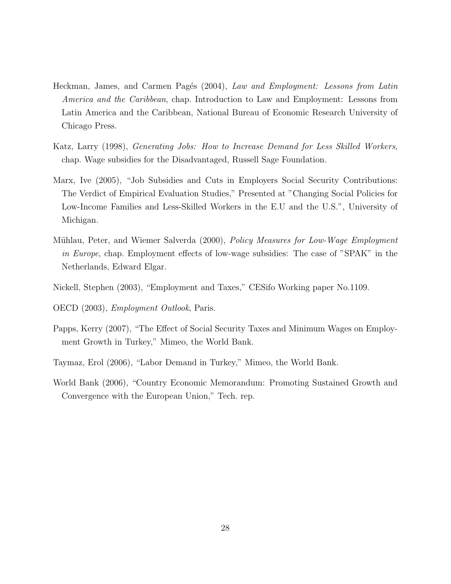- <span id="page-29-2"></span>Heckman, James, and Carmen Pagés (2004), Law and Employment: Lessons from Latin America and the Caribbean, chap. Introduction to Law and Employment: Lessons from Latin America and the Caribbean, National Bureau of Economic Research University of Chicago Press.
- <span id="page-29-5"></span>Katz, Larry (1998), Generating Jobs: How to Increase Demand for Less Skilled Workers, chap. Wage subsidies for the Disadvantaged, Russell Sage Foundation.
- <span id="page-29-7"></span>Marx, Ive (2005), "Job Subsidies and Cuts in Employers Social Security Contributions: The Verdict of Empirical Evaluation Studies," Presented at "Changing Social Policies for Low-Income Families and Less-Skilled Workers in the E.U and the U.S.", University of Michigan.
- <span id="page-29-6"></span>Mühlau, Peter, and Wiemer Salverda (2000), *Policy Measures for Low-Wage Employment* in Europe, chap. Employment effects of low-wage subsidies: The case of "SPAK" in the Netherlands, Edward Elgar.
- <span id="page-29-3"></span>Nickell, Stephen (2003), "Employment and Taxes," CESifo Working paper No.1109.
- <span id="page-29-0"></span>OECD (2003), Employment Outlook, Paris.
- <span id="page-29-8"></span>Papps, Kerry (2007), "The Effect of Social Security Taxes and Minimum Wages on Employment Growth in Turkey," Mimeo, the World Bank.
- <span id="page-29-4"></span>Taymaz, Erol (2006), "Labor Demand in Turkey," Mimeo, the World Bank.
- <span id="page-29-1"></span>World Bank (2006), "Country Economic Memorandum: Promoting Sustained Growth and Convergence with the European Union," Tech. rep.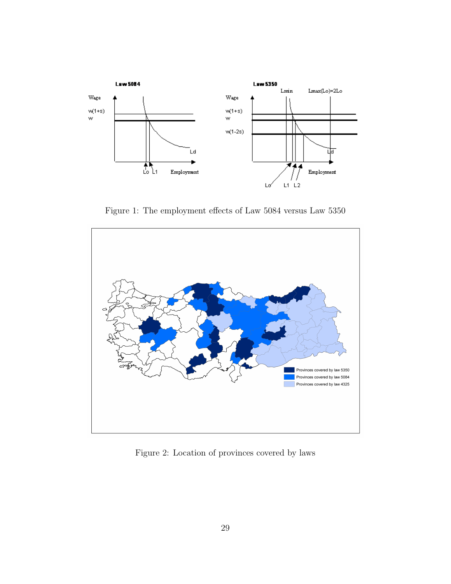

<span id="page-30-0"></span>Figure 1: The employment effects of Law 5084 versus Law 5350



<span id="page-30-1"></span>Figure 2: Location of provinces covered by laws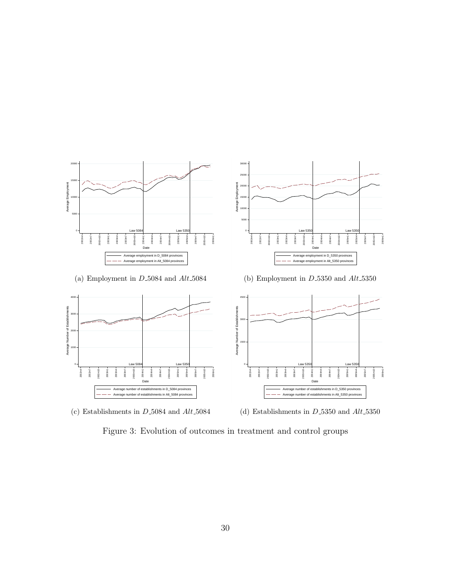<span id="page-31-1"></span>

<span id="page-31-2"></span>

<span id="page-31-4"></span><span id="page-31-3"></span>(d) Establishments in  $D_5350$  and  $Alt_5350$ 

<span id="page-31-0"></span>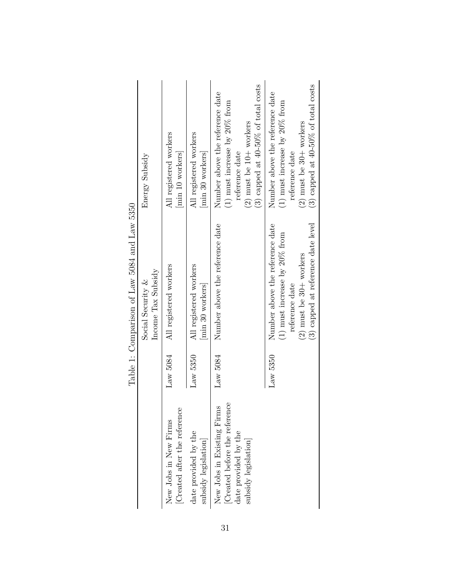|                                                                                                               |          | AGGC WPH DIFF FOOG WPH IO HOSTIPOTITION : T ALCO                                                                                                             |                                                                                                                                                                 |
|---------------------------------------------------------------------------------------------------------------|----------|--------------------------------------------------------------------------------------------------------------------------------------------------------------|-----------------------------------------------------------------------------------------------------------------------------------------------------------------|
|                                                                                                               |          | Income Tax Subsidy<br>Social Security &                                                                                                                      | Energy Subsidy                                                                                                                                                  |
| Created after the reference<br>New Jobs in New Firms                                                          | Law 5084 | All registered workers                                                                                                                                       | All registered workers<br>min 10 workers                                                                                                                        |
| date provided by the<br>subsidy legislation                                                                   | Law 5350 | All registered workers<br>min 30 workers                                                                                                                     | All registered workers<br>min 30 workers                                                                                                                        |
| Created before the reference<br>S<br>New Jobs in Existing Firm<br>date provided by the<br>subsidy legislation | Law 5084 | Number above the reference date                                                                                                                              | $(3)$ capped at 40-50% of total costs<br>Number above the reference date<br>$(1)$ must increase by $20\%$ from<br>$(2)$ must be $10+$ workers<br>reference date |
|                                                                                                               | Law 5350 | (3) capped at reference date level<br>Number above the reference date<br>$(1)$ must increase by $20\%$ from<br>$(2)$ must be $30+$ workers<br>reference date | $(3)$ capped at 40-50% of total costs<br>Number above the reference date<br>$(1)$ must increase by $20\%$ from<br>$(2)$ must be $30+$ workers<br>reference date |

Table 1: Comparison of Law 5084 and Law 5350 Table 1: Comparison of Law 5084 and Law 5350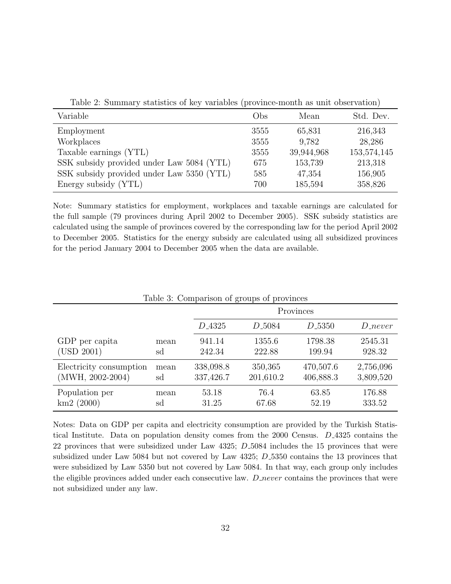Table 2: Summary statistics of key variables (province-month as unit observation)

| Variable                                  | Obs  | Mean       | Std. Dev.   |
|-------------------------------------------|------|------------|-------------|
| Employment                                | 3555 | 65,831     | 216,343     |
| Workplaces                                | 3555 | 9.782      | 28,286      |
| Taxable earnings (YTL)                    | 3555 | 39,944,968 | 153,574,145 |
| SSK subsidy provided under Law 5084 (YTL) | 675  | 153,739    | 213,318     |
| SSK subsidy provided under Law 5350 (YTL) | 585  | 47,354     | 156,905     |
| Energy subsidy (YTL)                      | 700  | 185,594    | 358,826     |

Note: Summary statistics for employment, workplaces and taxable earnings are calculated for the full sample (79 provinces during April 2002 to December 2005). SSK subsidy statistics are calculated using the sample of provinces covered by the corresponding law for the period April 2002 to December 2005. Statistics for the energy subsidy are calculated using all subsidized provinces for the period January 2004 to December 2005 when the data are available.

|                         |      |                    | Table 3: Comparison of groups of provinces |                    |                  |
|-------------------------|------|--------------------|--------------------------------------------|--------------------|------------------|
|                         |      |                    |                                            | Provinces          |                  |
|                         |      | D <sub>-4325</sub> | D <sub>-5084</sub>                         | D <sub>-5350</sub> | $D_{\tau}$ never |
| GDP per capita          | mean | 941.14             | 1355.6                                     | 1798.38            | 2545.31          |
| (USD 2001)              | sd   | 242.34             | 222.88                                     | 199.94             | 928.32           |
| Electricity consumption | mean | 338,098.8          | 350,365                                    | 470,507.6          | 2,756,096        |
| $(MWH, 2002-2004)$      | sd   | 337,426.7          | 201,610.2                                  | 406,888.3          | 3,809,520        |
| Population per          | mean | 53.18              | 76.4                                       | 63.85              | 176.88           |
| km2(2000)               | sd   | 31.25              | 67.68                                      | 52.19              | 333.52           |

Notes: Data on GDP per capita and electricity consumption are provided by the Turkish Statistical Institute. Data on population density comes from the 2000 Census. D<sub>-4325</sub> contains the 22 provinces that were subsidized under Law 4325; D 5084 includes the 15 provinces that were subsidized under Law  $5084$  but not covered by Law  $4325$ ;  $D_{-}5350$  contains the 13 provinces that were subsidized by Law 5350 but not covered by Law 5084. In that way, each group only includes the eligible provinces added under each consecutive law.  $D_{\text{.}}$  never contains the provinces that were not subsidized under any law.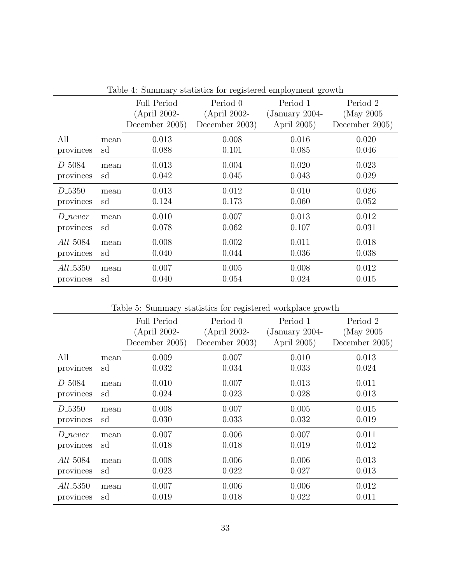|                    |      | <b>Full Period</b><br>(April 2002-<br>December 2005) | Table 1. Dummary brandwich for regionered employment growth<br>Period 0<br>$(Apri 2002-$<br>December 2003) | Period 1<br>$(January 2004-$<br>April 2005) | Period 2<br>(May 2005)<br>December 2005) |
|--------------------|------|------------------------------------------------------|------------------------------------------------------------------------------------------------------------|---------------------------------------------|------------------------------------------|
| All                | mean | 0.013                                                | 0.008                                                                                                      | 0.016                                       | 0.020                                    |
| provinces          | sd   | 0.088                                                | 0.101                                                                                                      | 0.085                                       | 0.046                                    |
| D <sub>-5084</sub> | mean | 0.013                                                | 0.004                                                                                                      | 0.020                                       | 0.023                                    |
| provinces          | sd   | 0.042                                                | 0.045                                                                                                      | 0.043                                       | 0.029                                    |
| D <sub>-5350</sub> | mean | 0.013                                                | 0.012                                                                                                      | 0.010                                       | 0.026                                    |
| provinces          | sd   | 0.124                                                | 0.173                                                                                                      | 0.060                                       | 0.052                                    |
| $D$ -never         | mean | 0.010                                                | 0.007                                                                                                      | 0.013                                       | 0.012                                    |
| provinces          | sd   | 0.078                                                | 0.062                                                                                                      | 0.107                                       | 0.031                                    |
| $Alt_5084$         | mean | 0.008                                                | 0.002                                                                                                      | 0.011                                       | 0.018                                    |
| provinces          | sd   | 0.040                                                | 0.044                                                                                                      | 0.036                                       | 0.038                                    |
| $Alt_5350$         | mean | 0.007                                                | 0.005                                                                                                      | 0.008                                       | 0.012                                    |
| provinces          | sd   | 0.040                                                | 0.054                                                                                                      | 0.024                                       | 0.015                                    |

Table 4: Summary statistics for registered employment growth

|  |  | Table 5: Summary statistics for registered workplace growth |  |
|--|--|-------------------------------------------------------------|--|
|  |  |                                                             |  |

|                    |      | <b>Full Period</b> | Period 0       | Period 1         | Period 2       |
|--------------------|------|--------------------|----------------|------------------|----------------|
|                    |      | (April 2002-       | (April 2002-   | $(January 2004-$ | (May 2005)     |
|                    |      | December 2005)     | December 2003) | April 2005)      | December 2005) |
| All                | mean | 0.009              | 0.007          | 0.010            | 0.013          |
| provinces          | sd   | 0.032              | 0.034          | 0.033            | 0.024          |
| D <sub>-5084</sub> | mean | 0.010              | 0.007          | 0.013            | 0.011          |
| provinces          | sd   | 0.024              | 0.023          | 0.028            | 0.013          |
| D <sub>-5350</sub> | mean | 0.008              | 0.007          | 0.005            | 0.015          |
| provinces          | sd   | 0.030              | 0.033          | 0.032            | 0.019          |
| $D_{\perp}$        | mean | 0.007              | 0.006          | 0.007            | 0.011          |
| provinces          | sd   | 0.018              | 0.018          | 0.019            | 0.012          |
| $Alt_5084$         | mean | 0.008              | 0.006          | 0.006            | 0.013          |
| provinces          | sd   | 0.023              | 0.022          | 0.027            | 0.013          |
| $Alt_5350$         | mean | 0.007              | 0.006          | 0.006            | 0.012          |
| provinces          | sd   | 0.019              | 0.018          | 0.022            | 0.011          |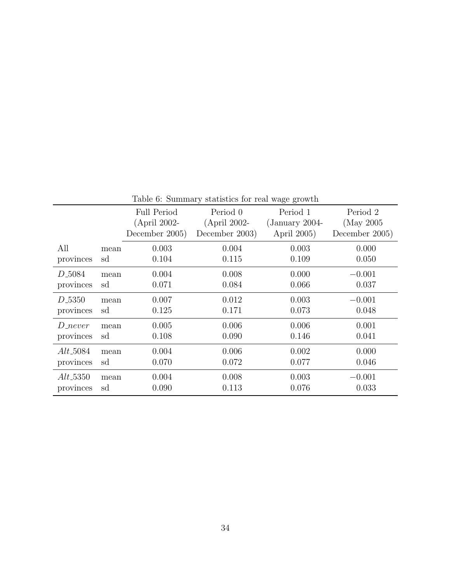|                     |      |                                                      | Table 6: Summary statistics for real wage growth |                                              |                                          |
|---------------------|------|------------------------------------------------------|--------------------------------------------------|----------------------------------------------|------------------------------------------|
|                     |      | <b>Full Period</b><br>(April 2002-<br>December 2005) | Period 0<br>$(Apri 2002-$<br>December 2003)      | Period 1<br>$(January 2004 -$<br>April 2005) | Period 2<br>(May 2005)<br>December 2005) |
| All                 | mean | 0.003                                                | 0.004                                            | 0.003                                        | 0.000                                    |
| provinces           | sd   | 0.104                                                | 0.115                                            | 0.109                                        | 0.050                                    |
| D <sub>-5084</sub>  | mean | 0.004                                                | 0.008                                            | 0.000                                        | $-0.001$                                 |
| provinces           | sd   | 0.071                                                | 0.084                                            | 0.066                                        | 0.037                                    |
| $D_{-}5350$         | mean | 0.007                                                | 0.012                                            | 0.003                                        | $-0.001$                                 |
| provinces           | sd   | 0.125                                                | 0.171                                            | 0.073                                        | 0.048                                    |
| $D_{\text{-}never}$ | mean | 0.005                                                | 0.006                                            | 0.006                                        | 0.001                                    |
| provinces           | sd   | 0.108                                                | 0.090                                            | 0.146                                        | 0.041                                    |
| $Alt_5084$          | mean | 0.004                                                | 0.006                                            | 0.002                                        | 0.000                                    |
| provinces           | sd   | 0.070                                                | 0.072                                            | 0.077                                        | 0.046                                    |
| $Alt_5350$          | mean | 0.004                                                | 0.008                                            | 0.003                                        | $-0.001$                                 |
| provinces           | sd   | 0.090                                                | 0.113                                            | 0.076                                        | 0.033                                    |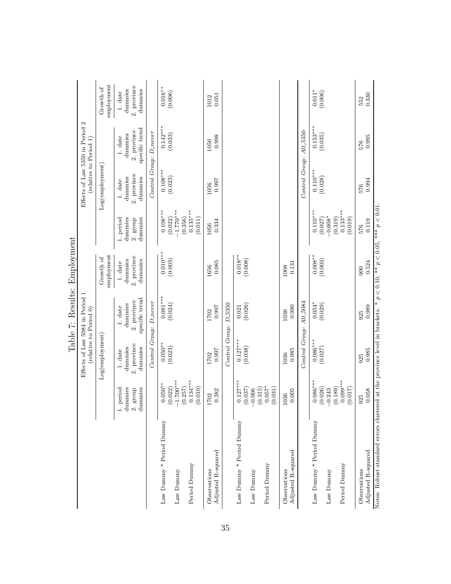|                                                                                                                          |                                                                         |                                              | Table 7: Results: Employment                              |                                              |                                                                          |                                              |                                                           |                                              |
|--------------------------------------------------------------------------------------------------------------------------|-------------------------------------------------------------------------|----------------------------------------------|-----------------------------------------------------------|----------------------------------------------|--------------------------------------------------------------------------|----------------------------------------------|-----------------------------------------------------------|----------------------------------------------|
|                                                                                                                          |                                                                         |                                              | Effects of Law 5084 in Period 1<br>(relative to Period 0) |                                              |                                                                          |                                              | Effects of Law 5350 in Period 2<br>(relative to Period 1) |                                              |
|                                                                                                                          |                                                                         | Log(employment)                              |                                                           | employment<br>Growth of                      |                                                                          | Log(employment)                              |                                                           | employment<br>Growth of                      |
|                                                                                                                          | L. period<br>dummies<br>dummies<br>2. group                             | 2. province<br>dummies<br>dummies<br>1. date | specific trend<br>2. province<br>dummies<br>1. date       | 2. province<br>dummies<br>dummies<br>1. date | 1. period<br>dummies<br>dummies<br>2. group                              | 2. province<br>dummies<br>dummies<br>1. date | specific trend<br>2. province<br>dummies<br>1. date       | 2. province<br>dummies<br>dummies<br>1. date |
|                                                                                                                          |                                                                         |                                              | Control Group: D_never                                    |                                              |                                                                          |                                              | Control Group: D_never                                    |                                              |
| Law Dummy * Period Dummy<br>Period Dummy<br>Law Dummy                                                                    | $0.134***$<br>$-1.700***$<br>$0.050**$<br>(0.022)<br>(0.257)<br>(0.010) | $0.050**$<br>(0.023)                         | $0.081***$<br>(0.024)                                     | $0.010***$<br>(0.003)                        | $0.135***$<br>$-1.770***$<br>$0.108***$<br>(0.022)<br>(0.356)<br>(0.011) | $0.108***$<br>(0.023)                        | $0.142***$<br>(0.033)                                     | $0.016**$<br>(0.006)                         |
| Adjusted R-squared<br>Observations                                                                                       | 0.382<br>1702                                                           | 0.997<br>1702                                | 0.997<br>1702                                             | 0.085<br>1656                                | 0.334<br>1056                                                            | 0.997<br>1056                                | 0.998<br>1056                                             | 0.051<br>1012                                |
|                                                                                                                          |                                                                         |                                              | Control Group: D_5350                                     |                                              |                                                                          |                                              |                                                           |                                              |
| Law Dummy * Period Dummy<br>Period Dummy<br>Law Dunnny                                                                   | $0.127***$<br>$0.057*$<br>(0.037)<br>(0.315)<br>(0.031)<br>$-0.006$     | $0.127***$<br>(0.038)                        | (0.026)<br>0.021                                          | $0.018^{\ast\ast}$<br>(0.008)                |                                                                          |                                              |                                                           |                                              |
| Adjusted R-squared<br>Observations                                                                                       | 0.005<br>1036                                                           | 0.985<br>1036                                | 0.990<br>1036                                             | 0.131<br>1008                                |                                                                          |                                              |                                                           |                                              |
|                                                                                                                          |                                                                         |                                              | Control Group: Alt.5084                                   |                                              |                                                                          |                                              | Control Group: Alt.5350                                   |                                              |
| Law Dummy * Period Dummy<br>Period Dummy<br>Law Dummy                                                                    | $0.086***$<br>$0.099***$<br>(0.026)<br>(0.189)<br>(0.017)<br>$-0.243$   | $0.086***$<br>(0.027)                        | $0.054*$<br>(0.029)                                       | $0.008^{**}$<br>(0.003)                      | $0.110***$<br>$0.133***$<br>$-0.608*$<br>(0.319)<br>(0.019)<br>(0.027)   | $0.110***$<br>(0.028)                        | $0.153***$<br>(0.035)                                     | $0.011^{\ast}$<br>(0.006)                    |
| Adjusted R-squared<br>Observations                                                                                       | 0.058<br>925                                                            | 0.985<br>925                                 | 0.989<br>925                                              | 0.524<br>900                                 | 0.119<br>576                                                             | 0.994<br>925                                 | 0.995<br>929                                              | 0.330<br>552                                 |
| Notes: Robust standard errors clustered at the province level in brackets. * $p < 0.10$ , ** $p < 0.05$ , *** $p < 0.01$ |                                                                         |                                              |                                                           |                                              |                                                                          |                                              |                                                           |                                              |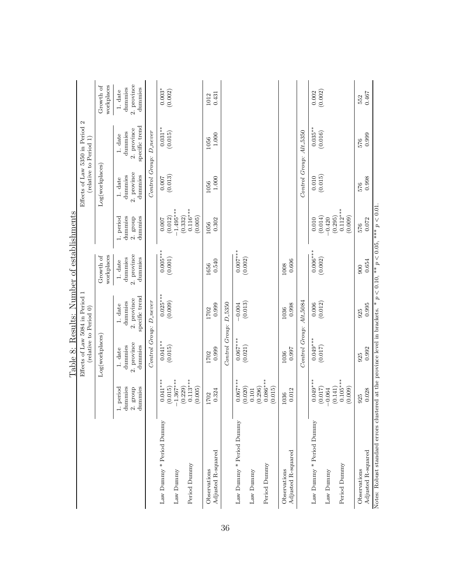|                                        |                                                 | Effects of Law 5084 in Period 1              | (relative to Period 0)                              |                                                |                                             |                                                 | Effects of Law 5350 in Period 2<br>(relative to Period 1) |                                              |
|----------------------------------------|-------------------------------------------------|----------------------------------------------|-----------------------------------------------------|------------------------------------------------|---------------------------------------------|-------------------------------------------------|-----------------------------------------------------------|----------------------------------------------|
|                                        |                                                 | Log(workplaces)                              |                                                     | workplaces<br>Growth of                        |                                             | Log(workplaces)                                 |                                                           | workplaces<br>Growth of                      |
|                                        | 1. period<br>dummies<br>dummies<br>2. group     | 2. province<br>dummies<br>dummies<br>1. date | specific trend<br>2. province<br>dummies<br>1. date | 2. province<br>dummies<br>dummies<br>$1.$ date | 1. period<br>dummies<br>dummies<br>2. group | 2. province<br>dummies<br>dummies<br>1. date    | specific trend<br>2. province<br>dummies<br>1. date       | 2. province<br>dummies<br>dummies<br>1. date |
|                                        |                                                 |                                              | Control Group: D_never                              |                                                |                                             |                                                 | Control Group: D_never                                    |                                              |
| Law Dummy * Period Dummy<br>Law Dunnny | $-1.367***$<br>$0.041***$<br>(0.229)<br>(0.015) | $0.041***$<br>(0.015)                        | $0.025***$<br>(0.009)                               | $0.005***$<br>(0.001)                          | $-1.495***$<br>(0.332)<br>(0.012)<br>0.007  | (0.013)<br>0.007                                | $0.031***$<br>(0.015)                                     | $0.003*$<br>(0.002)                          |
| Period Dummy                           | $0.113***$<br>(0.005)                           |                                              |                                                     |                                                | $0.116***$<br>(0.005)                       |                                                 |                                                           |                                              |
| Adjusted R-squared<br>Observations     | 0.324<br>1702                                   | 0.999<br>1702                                | 0.999<br>1702                                       | 0.540<br>1656                                  | 0.302<br>1056                               | $1.000$<br>1056                                 | $1.000\,$<br>1056                                         | 0.431<br>1012                                |
|                                        |                                                 |                                              | Control Group: D <sub>-5350</sub>                   |                                                |                                             |                                                 |                                                           |                                              |
| Law Dummy * Period Dummy               | $0.067***$<br>(0.020)                           | $0.067***$<br>(0.021)                        | (0.013)<br>$-0.004$                                 | $0.007***$<br>(0.002)                          |                                             |                                                 |                                                           |                                              |
| Law Dummy                              | (0.296)<br>$0.101\,$                            |                                              |                                                     |                                                |                                             |                                                 |                                                           |                                              |
| Period Dummy                           | $0.086***$<br>(0.015)                           |                                              |                                                     |                                                |                                             |                                                 |                                                           |                                              |
| Adjusted R-squared<br>Observations     | 0.012<br>1036                                   | 0.997<br>1036                                | 0.998<br>1036                                       | 0.606<br>1008                                  |                                             |                                                 |                                                           |                                              |
|                                        |                                                 |                                              | Control Group: Alt_5084                             |                                                |                                             |                                                 | Control Group: Alt_5350                                   |                                              |
| Law Dummy * Period Dummy               | $0.049***$<br>(0.017)                           | $0.049***$<br>(0.017)                        | (0.012)<br>0.006                                    | $0.006***$<br>(0.002)                          | (0.014)<br>0.010                            | $\begin{array}{c} 0.010 \\ (0.015) \end{array}$ | $0.035***$<br>(0.016)                                     | (0.002)<br>0.002                             |
| Law Dunnny                             | (0.141)<br>$-0.064$                             |                                              |                                                     |                                                | (0.295)<br>$-0.420$                         |                                                 |                                                           |                                              |
| Period Dummy                           | $0.105***$<br>(0.009)                           |                                              |                                                     |                                                | $0.112***$<br>(0.009)                       |                                                 |                                                           |                                              |
| Adjusted R-squared<br>Observations     | 0.028<br>925                                    | 0.992<br>925                                 | 0.995<br>925                                        | 0.654<br>006                                   | 0.072<br>576                                | 0.998<br>925                                    | 0.999<br>929                                              | 0.467<br>552                                 |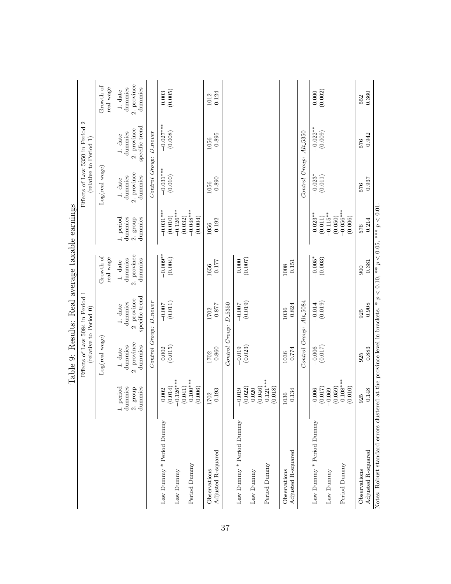|                                                                                                                          |                                               |                                              |                                                           | Table 9: Results: Real average taxable earnings |                                             |                                              |                                                           |                                              |
|--------------------------------------------------------------------------------------------------------------------------|-----------------------------------------------|----------------------------------------------|-----------------------------------------------------------|-------------------------------------------------|---------------------------------------------|----------------------------------------------|-----------------------------------------------------------|----------------------------------------------|
|                                                                                                                          |                                               |                                              | Effects of Law 5084 in Period 1<br>(relative to Period 0) |                                                 |                                             |                                              | Effects of Law 5350 in Period 2<br>(relative to Period 1) |                                              |
|                                                                                                                          |                                               | Log(real wage)                               |                                                           | Growth of<br>real wage                          |                                             | Log(real wage)                               |                                                           | Growth of<br>real wage                       |
|                                                                                                                          | 1. period<br>dummies<br>$2.$ group<br>dunnies | 2. province<br>dummies<br>dummies<br>1. date | specific trend<br>2. province<br>dummies<br>$1.$ date     | 2. province<br>dummies<br>dummies<br>1. date    | 1. period<br>dunnies<br>dunnies<br>2. group | 2. province<br>dummies<br>dummies<br>1. date | specific trend<br>2. province<br>dummies<br>1. date       | 2. province<br>dummies<br>dummies<br>1. date |
|                                                                                                                          |                                               |                                              | Control Group: D_never                                    |                                                 |                                             |                                              | Control Group: D_never                                    |                                              |
| Law Dummy * Period Dummy<br>Law Dummy                                                                                    | $-0.126***$<br>(0.014)<br>0.002               | (0.015)<br>0.002                             | (0.011)<br>$-0.007$                                       | $-0.009**$<br>(0.004)                           | $-0.126***$<br>$-0.031***$<br>(0.010)       | $-0.031***$<br>(0.010)                       | $-0.027***$<br>(0.008)                                    | (0.005)<br>0.003                             |
| Period Dummy                                                                                                             | $0.100***$<br>(0.041)<br>(0.006)              |                                              |                                                           |                                                 | $-0.048***$<br>(0.032)<br>(0.004)           |                                              |                                                           |                                              |
| Adjusted R-squared<br>Observations                                                                                       | 0.193<br>1702                                 | 0.860<br>1702                                | 0.877<br>1702                                             | 0.177<br>1656                                   | 0.192<br>1056                               | 0.890<br>1056                                | 0.895<br>1056                                             | 0.124<br>1012                                |
|                                                                                                                          |                                               |                                              | Control Group: D <sub>-5350</sub>                         |                                                 |                                             |                                              |                                                           |                                              |
| Law Dummy * Period Dummy                                                                                                 | (0.022)<br>$-0.019$                           | (0.023)<br>$-0.019$                          | (0.019)<br>$-0.007$                                       | (0.007)<br>0.000                                |                                             |                                              |                                                           |                                              |
| Law Dummy                                                                                                                | (0.046)<br>0.020                              |                                              |                                                           |                                                 |                                             |                                              |                                                           |                                              |
| Period Dummy                                                                                                             | $0.121***$<br>(0.018)                         |                                              |                                                           |                                                 |                                             |                                              |                                                           |                                              |
| Adjusted R-squared<br>Observations                                                                                       | 0.134<br>1036                                 | 0.774<br>1036                                | 0.824<br>1036                                             | 0.151<br>1008                                   |                                             |                                              |                                                           |                                              |
|                                                                                                                          |                                               | Control Group:                               | Alt_5084                                                  |                                                 |                                             | Control Group:                               | $Alt$ <sub>-5350</sub>                                    |                                              |
| Law Dummy * Period Dummy                                                                                                 | (0.017)<br>$-0.006$                           | (0.017)<br>$-0.006$                          | (0.019)<br>$-0.014$                                       | $-0.005*$<br>(0.003)                            | $-0.023**$<br>(0.011)                       | $-0.023*$<br>(0.011)                         | $-0.022**$<br>(0.009)                                     | (0.002)<br>0.000                             |
| Law Dummy                                                                                                                | (0.059)<br>$-0.069$                           |                                              |                                                           |                                                 | $-0.115**$<br>(0.050)                       |                                              |                                                           |                                              |
| Period Dunnny                                                                                                            | $0.108***$<br>(0.010)                         |                                              |                                                           |                                                 | $-0.056***$<br>(0.006)                      |                                              |                                                           |                                              |
| Adjusted R-squared<br>Observations                                                                                       | 0.148<br>925                                  | 0.883<br>925                                 | 0.908<br>925                                              | 0.381<br>900                                    | 0.214<br>576                                | 0.937<br>576                                 | 0.942<br>576                                              | 0.360<br>552                                 |
| Notes: Robust standard errors clustered at the province level in brackets. * $p < 0.10$ , ** $p < 0.05$ , *** $p < 0.01$ |                                               |                                              |                                                           |                                                 |                                             |                                              |                                                           |                                              |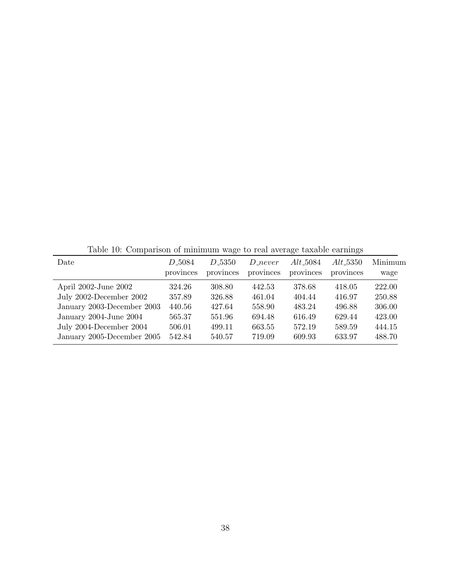Table 10: Comparison of minimum wage to real average taxable earnings

| Date                       | D <sub>-5084</sub><br>provinces | $D_{-5,350}$<br>provinces | $D$ -never<br>provinces | $Alt_5084$<br>provinces | $Alt_5350$<br>provinces | Minimum<br>wage |
|----------------------------|---------------------------------|---------------------------|-------------------------|-------------------------|-------------------------|-----------------|
| April 2002-June 2002       | 324.26                          | 308.80                    | 442.53                  | 378.68                  | 418.05                  | 222.00          |
| July 2002-December 2002    | 357.89                          | 326.88                    | 461.04                  | 404.44                  | 416.97                  | 250.88          |
| January 2003-December 2003 | 440.56                          | 427.64                    | 558.90                  | 483.24                  | 496.88                  | 306.00          |
| January 2004-June 2004     | 565.37                          | 551.96                    | 694.48                  | 616.49                  | 629.44                  | 423.00          |
| July 2004-December 2004    | 506.01                          | 499.11                    | 663.55                  | 572.19                  | 589.59                  | 444.15          |
| January 2005-December 2005 | 542.84                          | 540.57                    | 719.09                  | 609.93                  | 633.97                  | 488.70          |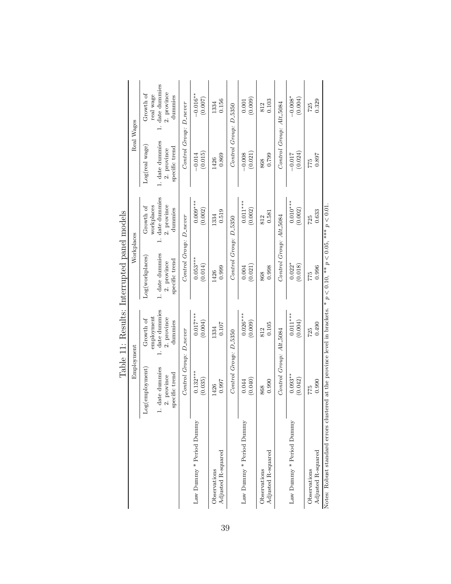| date dummies<br>$0.011***$<br>$0.010***$<br>$0.009***$<br>2. province<br>workplaces<br>Growth of<br>(0.002)<br>(0.002)<br>dummies<br>(0.002)<br>0.519<br>0.633<br>0.581<br>1334<br>725<br>812 | Table 11: Results: Interrupted panel models | Employment | 1. date dummies<br>Log(workplaces)<br>specific trend<br>2. province<br>1. date dummies<br>employment<br>2. province<br>Growth of<br>dummies<br>1. date dummies<br>Log(employment)<br>specific trend<br>2. province | Control Group: D_never | $0.053***$<br>(0.014)<br>$0.017***$<br>(0.004)<br>$0.132***$<br>(0.035) | 0.999<br>1426<br>0.107<br>1334<br>0.997<br>1426 | Control Group: D <sub>-5350</sub> | $\left(0.004\right)$ (0.021)<br>$0.026***$<br>(0.009)<br>(0.040)<br>0.044 | 0.998<br>868<br>0.105<br>812<br>0.990<br>868 | $Control$ $Group: Alt_5084$ | $0.022*$<br>(0.018)<br>$0.011***$<br>(0.004)<br>$0.093**$<br>(0.042) | 0.996<br>775<br>0.490<br>725<br>0.990<br>775 | * $p < 0.10$ , ** $p < 0.05$ , *** $p < 0.01$<br>ered at the province level in brackets. |
|-----------------------------------------------------------------------------------------------------------------------------------------------------------------------------------------------|---------------------------------------------|------------|--------------------------------------------------------------------------------------------------------------------------------------------------------------------------------------------------------------------|------------------------|-------------------------------------------------------------------------|-------------------------------------------------|-----------------------------------|---------------------------------------------------------------------------|----------------------------------------------|-----------------------------|----------------------------------------------------------------------|----------------------------------------------|------------------------------------------------------------------------------------------|
|                                                                                                                                                                                               |                                             | Workplaces |                                                                                                                                                                                                                    | Control Group: D_never |                                                                         |                                                 | Control Group: D <sub>-5350</sub> |                                                                           |                                              | $Control$ $Group: Alt_5084$ |                                                                      |                                              |                                                                                          |
|                                                                                                                                                                                               |                                             | Real Wages | 1. date dummies<br>2. province<br>Growth of<br>real wage<br>dummies                                                                                                                                                | Control Group: D_never | $-0.016**$<br>(0.007)                                                   | 0.156<br>1334                                   | Control Group: D <sub>-5350</sub> | (0.001)                                                                   | 0.103<br>812                                 | $Control$ $Group: Alt_5084$ | $-0.008*$<br>(0.004)                                                 | 0.329<br>725                                 |                                                                                          |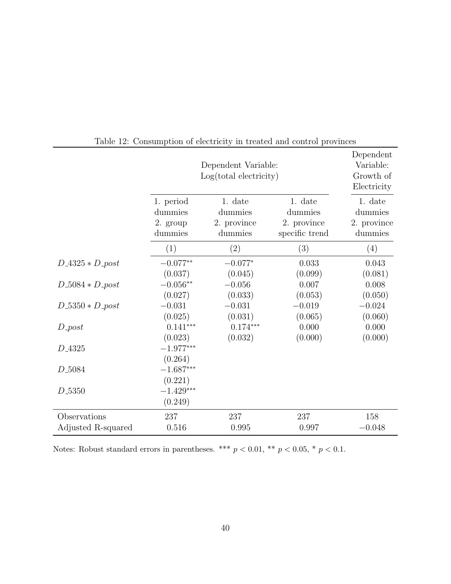|                                    |                                             | Dependent Variable:<br>Log(total electricity) |                                                     | Dependent<br>Variable:<br>Growth of<br>Electricity |
|------------------------------------|---------------------------------------------|-----------------------------------------------|-----------------------------------------------------|----------------------------------------------------|
|                                    | 1. period<br>dummies<br>2. group<br>dummies | 1. date<br>dummies<br>2. province<br>dummies  | 1. date<br>dummies<br>2. province<br>specific trend | 1. date<br>dummies<br>2. province<br>dummies       |
|                                    | (1)                                         | (2)                                           | (3)                                                 | (4)                                                |
| $D_4325*D_4$                       | $-0.077**$<br>(0.037)                       | $-0.077*$<br>(0.045)                          | 0.033<br>(0.099)                                    | 0.043<br>(0.081)                                   |
| $D_5084 * D_4 post$                | $-0.056**$                                  | $-0.056$                                      | 0.007                                               | 0.008                                              |
| $D_5350 * D_5$                     | (0.027)<br>$-0.031$<br>(0.025)              | (0.033)<br>$-0.031$<br>(0.031)                | (0.053)<br>$-0.019$<br>(0.065)                      | (0.050)<br>$-0.024$<br>(0.060)                     |
| $D_{\mathcal{A}}$                  | $0.141***$<br>(0.023)                       | $0.174***$<br>(0.032)                         | 0.000<br>(0.000)                                    | 0.000<br>(0.000)                                   |
| D <sub>-4325</sub>                 | $-1.977***$<br>(0.264)                      |                                               |                                                     |                                                    |
| D <sub>-5084</sub>                 | $-1.687***$                                 |                                               |                                                     |                                                    |
| $D_{-}5350$                        | (0.221)<br>$-1.429***$<br>(0.249)           |                                               |                                                     |                                                    |
| Observations<br>Adjusted R-squared | 237<br>0.516                                | 237<br>0.995                                  | 237<br>0.997                                        | 158<br>$-0.048$                                    |

Table 12: Consumption of electricity in treated and control provinces

Notes: Robust standard errors in parentheses. \*\*\* $p < 0.01,$ \*\* $p < 0.05,$ \* $p < 0.1.$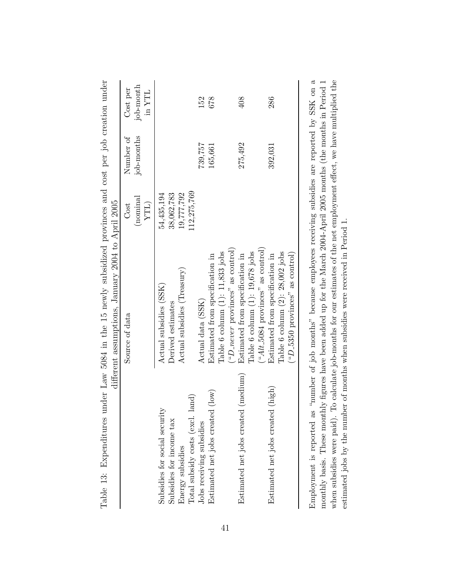| тяри последника на следника и следника и стана и становится и с следниками с следниками с следника и следника и      | different assumptions, January 2004 to April 2005                                                                             |                                                       |                         |                                 |
|----------------------------------------------------------------------------------------------------------------------|-------------------------------------------------------------------------------------------------------------------------------|-------------------------------------------------------|-------------------------|---------------------------------|
|                                                                                                                      | Source of data                                                                                                                | (nominal<br>YTL)<br>Cost                              | job-months<br>Number of | job-month<br>Cost per<br>in YTL |
| land)<br>Subsidies for social security<br>Total subsidy costs (excl.<br>Subsidies for income tax<br>Energy subsidies | Actual subsidies (Treasury)<br>Actual subsidies (SSK)<br>Derived estimates                                                    | 112,275,769<br>19,777,792<br>38,062,783<br>54,435,194 |                         |                                 |
| $\left(\text{low}\right)$<br>Estimated net jobs created<br>Jobs receiving subsidies                                  | $("D-never$ provinces" as control)<br>Table 6 column (1): 11,833 jobs<br>Estimated from specification in<br>Actual data (SSK) |                                                       | 739,757<br>165,661      | 152<br>678                      |
| (medium)<br>Estimated net jobs created                                                                               | $($ " $Alt_5084$ provinces" as control)<br>Table 6 column (1): 19,678 jobs<br>Estimated from specification in                 |                                                       | 275,492                 | 408                             |
| $(\text{high})$<br>Estimated net jobs created                                                                        | Table 6 column (2): 28,002 jobs<br>$( "D_5350 \text{ provides" as control})$<br>Estimated from specification in               |                                                       | 392,031                 | 286                             |
|                                                                                                                      | $\ddot{\phantom{0}}$                                                                                                          |                                                       |                         | ・・てて                            |

mdor Table 13: Expenditures under Law 5084 in the 15 newly subsidized provinces and cost per job creation under motton  $\alpha r$  inh nd cost  $\ddot{\phantom{a}}$ euheidizod r  $rac{1}{2}$  $\frac{1}{k}$  $5084$  in the  $\overline{A}$  or  $\overline{L}$  our  $mid_{\text{in}}$  $F_{\rm vrr}$  $Thab12.$ 

Employment is reported as "number of job months" because employees receiving subsidies are reported by SSK on a Employment is reported as "number of job months" because employees receiving subsidies are reported by SSK on a monthly basis. These monthly figures have been added up for the March 2004-April 2005 months (the months in Period 1 monthly basis. These monthly figures have been added up for the March 2004-April 2005 months (the months in Period 1 when subsidies were paid). To calculate job-months for our estimates of the net employment effect, we have multiplied the when subsidies were paid). To calculate job-months for our estimates of the net employment effect, we have multiplied the estimated jobs by the number of months when subsidies were received in Period 1. estimated jobs by the number of months when subsidies were received in Period 1.